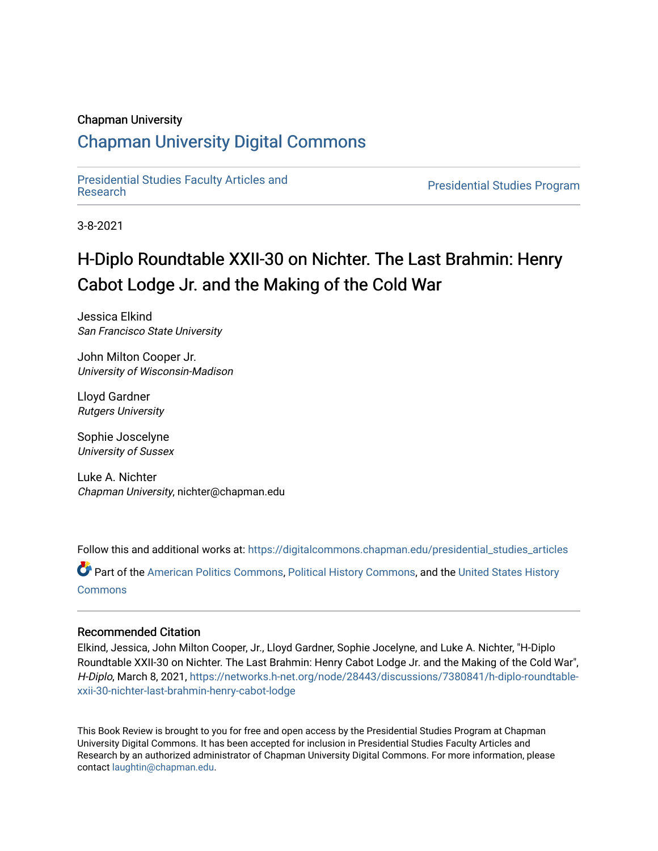#### Chapman University

## [Chapman University Digital Commons](https://digitalcommons.chapman.edu/)

[Presidential Studies Faculty Articles and](https://digitalcommons.chapman.edu/presidential_studies_articles) 

**Presidential Studies Program** 

3-8-2021

# H-Diplo Roundtable XXII-30 on Nichter. The Last Brahmin: Henry Cabot Lodge Jr. and the Making of the Cold War

Jessica Elkind San Francisco State University

John Milton Cooper Jr. University of Wisconsin-Madison

Lloyd Gardner Rutgers University

Sophie Joscelyne University of Sussex

Luke A. Nichter Chapman University, nichter@chapman.edu

Follow this and additional works at: [https://digitalcommons.chapman.edu/presidential\\_studies\\_articles](https://digitalcommons.chapman.edu/presidential_studies_articles?utm_source=digitalcommons.chapman.edu%2Fpresidential_studies_articles%2F10&utm_medium=PDF&utm_campaign=PDFCoverPages) 

Part of the [American Politics Commons,](http://network.bepress.com/hgg/discipline/387?utm_source=digitalcommons.chapman.edu%2Fpresidential_studies_articles%2F10&utm_medium=PDF&utm_campaign=PDFCoverPages) [Political History Commons,](http://network.bepress.com/hgg/discipline/505?utm_source=digitalcommons.chapman.edu%2Fpresidential_studies_articles%2F10&utm_medium=PDF&utm_campaign=PDFCoverPages) and the [United States History](http://network.bepress.com/hgg/discipline/495?utm_source=digitalcommons.chapman.edu%2Fpresidential_studies_articles%2F10&utm_medium=PDF&utm_campaign=PDFCoverPages) **[Commons](http://network.bepress.com/hgg/discipline/495?utm_source=digitalcommons.chapman.edu%2Fpresidential_studies_articles%2F10&utm_medium=PDF&utm_campaign=PDFCoverPages)** 

#### Recommended Citation

Elkind, Jessica, John Milton Cooper, Jr., Lloyd Gardner, Sophie Jocelyne, and Luke A. Nichter, "H-Diplo Roundtable XXII-30 on Nichter. The Last Brahmin: Henry Cabot Lodge Jr. and the Making of the Cold War", H-Diplo, March 8, 2021, [https://networks.h-net.org/node/28443/discussions/7380841/h-diplo-roundtable](https://networks.h-net.org/node/28443/discussions/7380841/h-diplo-roundtable-xxii-30-nichter-last-brahmin-henry-cabot-lodge)[xxii-30-nichter-last-brahmin-henry-cabot-lodge](https://networks.h-net.org/node/28443/discussions/7380841/h-diplo-roundtable-xxii-30-nichter-last-brahmin-henry-cabot-lodge)

This Book Review is brought to you for free and open access by the Presidential Studies Program at Chapman University Digital Commons. It has been accepted for inclusion in Presidential Studies Faculty Articles and Research by an authorized administrator of Chapman University Digital Commons. For more information, please contact [laughtin@chapman.edu](mailto:laughtin@chapman.edu).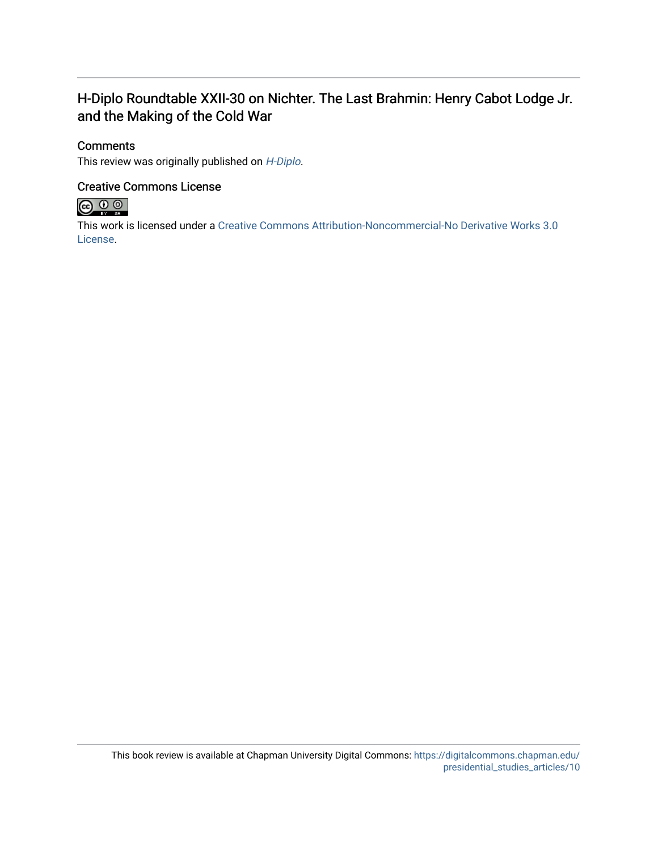### H-Diplo Roundtable XXII-30 on Nichter. The Last Brahmin: Henry Cabot Lodge Jr. and the Making of the Cold War

#### **Comments**

This review was originally published on [H-Diplo](https://networks.h-net.org/node/28443/discussions/7380841/h-diplo-roundtable-xxii-30-nichter-last-brahmin-henry-cabot-lodge).

#### Creative Commons License



This work is licensed under a [Creative Commons Attribution-Noncommercial-No Derivative Works 3.0](https://creativecommons.org/licenses/by-nc-nd/3.0/) [License](https://creativecommons.org/licenses/by-nc-nd/3.0/).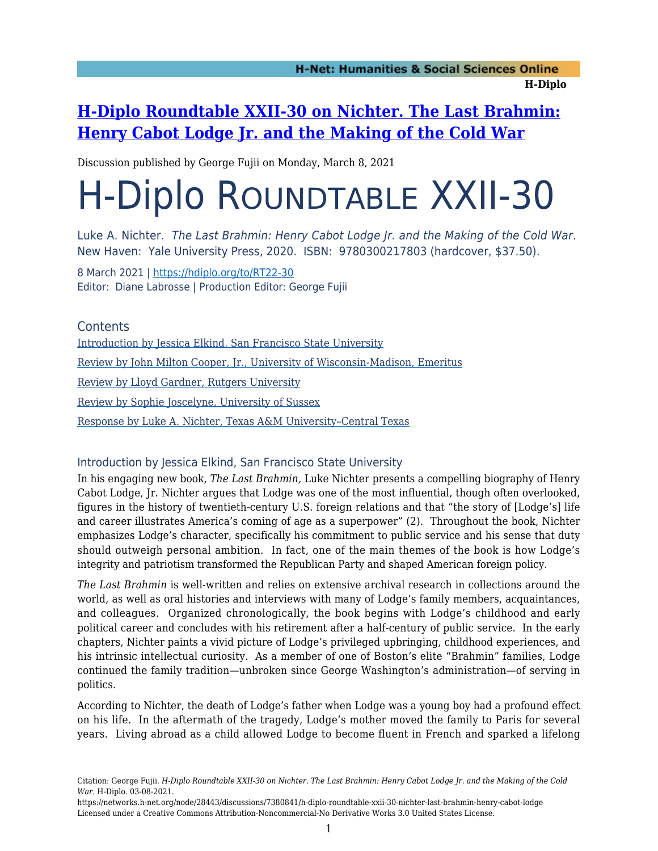# **[H-Diplo Roundtable XXII-30 on Nichter. The Last Brahmin:](https://networks.h-net.org/node/28443/discussions/7380841/h-diplo-roundtable-xxii-30-nichter-last-brahmin-henry-cabot-lodge) [Henry Cabot Lodge Jr. and the Making of the Cold War](https://networks.h-net.org/node/28443/discussions/7380841/h-diplo-roundtable-xxii-30-nichter-last-brahmin-henry-cabot-lodge)**

Discussion published by George Fujii on Monday, March 8, 2021

# H-Diplo ROUNDTABLE XXII-30

Luke A. Nichter. The Last Brahmin: Henry Cabot Lodge Jr. and the Making of the Cold War. New Haven: Yale University Press, 2020. ISBN: 9780300217803 (hardcover, \$37.50).

8 March 2021 | <https://hdiplo.org/to/RT22-30> Editor: Diane Labrosse | Production Editor: George Fujii

**Contents** [Introduction by Jessica Elkind, San Francisco State University](#page-2-0) [Review by John Milton Cooper, Jr., University of Wisconsin-Madison, Emeritus](#page-6-0) [Review by Lloyd Gardner, Rutgers University](#page-12-0) [Review by Sophie Joscelyne, University of Sussex](#page-16-0) [Response by Luke A. Nichter, Texas A&M University–Central Texas](#page-18-0)

#### <span id="page-2-0"></span>Introduction by Jessica Elkind, San Francisco State University

In his engaging new book, *The Last Brahmin,* Luke Nichter presents a compelling biography of Henry Cabot Lodge, Jr. Nichter argues that Lodge was one of the most influential, though often overlooked, figures in the history of twentieth-century U.S. foreign relations and that "the story of [Lodge's] life and career illustrates America's coming of age as a superpower" (2). Throughout the book, Nichter emphasizes Lodge's character, specifically his commitment to public service and his sense that duty should outweigh personal ambition. In fact, one of the main themes of the book is how Lodge's integrity and patriotism transformed the Republican Party and shaped American foreign policy.

*The Last Brahmin* is well-written and relies on extensive archival research in collections around the world, as well as oral histories and interviews with many of Lodge's family members, acquaintances, and colleagues. Organized chronologically, the book begins with Lodge's childhood and early political career and concludes with his retirement after a half-century of public service. In the early chapters, Nichter paints a vivid picture of Lodge's privileged upbringing, childhood experiences, and his intrinsic intellectual curiosity. As a member of one of Boston's elite "Brahmin" families, Lodge continued the family tradition—unbroken since George Washington's administration—of serving in politics.

According to Nichter, the death of Lodge's father when Lodge was a young boy had a profound effect on his life. In the aftermath of the tragedy, Lodge's mother moved the family to Paris for several years. Living abroad as a child allowed Lodge to become fluent in French and sparked a lifelong

Citation: George Fujii. *H-Diplo Roundtable XXII-30 on Nichter. The Last Brahmin: Henry Cabot Lodge Jr. and the Making of the Cold War*. H-Diplo. 03-08-2021.

https://networks.h-net.org/node/28443/discussions/7380841/h-diplo-roundtable-xxii-30-nichter-last-brahmin-henry-cabot-lodge Licensed under a Creative Commons Attribution-Noncommercial-No Derivative Works 3.0 United States License.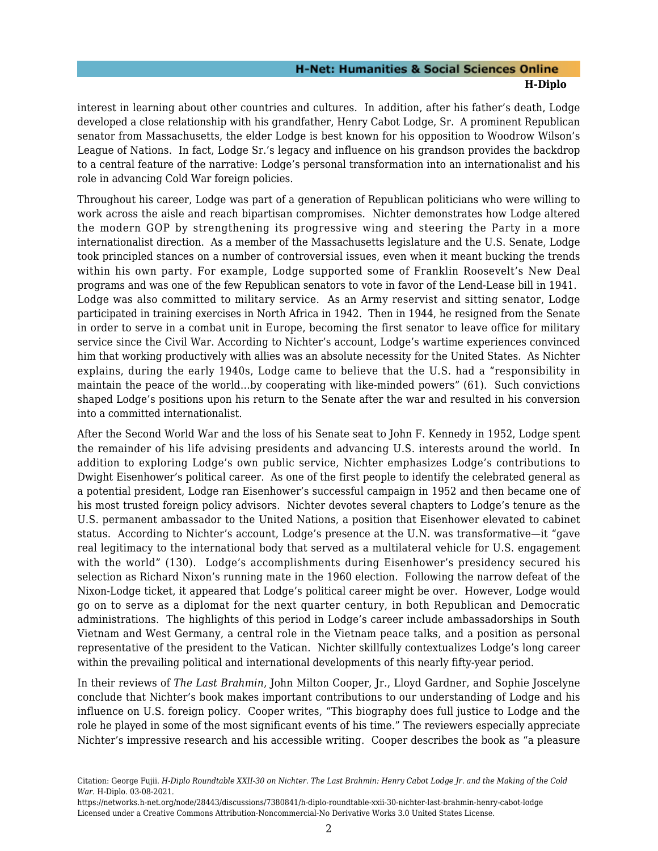interest in learning about other countries and cultures. In addition, after his father's death, Lodge developed a close relationship with his grandfather, Henry Cabot Lodge, Sr. A prominent Republican senator from Massachusetts, the elder Lodge is best known for his opposition to Woodrow Wilson's League of Nations. In fact, Lodge Sr.'s legacy and influence on his grandson provides the backdrop to a central feature of the narrative: Lodge's personal transformation into an internationalist and his role in advancing Cold War foreign policies.

Throughout his career, Lodge was part of a generation of Republican politicians who were willing to work across the aisle and reach bipartisan compromises. Nichter demonstrates how Lodge altered the modern GOP by strengthening its progressive wing and steering the Party in a more internationalist direction. As a member of the Massachusetts legislature and the U.S. Senate, Lodge took principled stances on a number of controversial issues, even when it meant bucking the trends within his own party. For example, Lodge supported some of Franklin Roosevelt's New Deal programs and was one of the few Republican senators to vote in favor of the Lend-Lease bill in 1941. Lodge was also committed to military service. As an Army reservist and sitting senator, Lodge participated in training exercises in North Africa in 1942. Then in 1944, he resigned from the Senate in order to serve in a combat unit in Europe, becoming the first senator to leave office for military service since the Civil War. According to Nichter's account, Lodge's wartime experiences convinced him that working productively with allies was an absolute necessity for the United States. As Nichter explains, during the early 1940s, Lodge came to believe that the U.S. had a "responsibility in maintain the peace of the world…by cooperating with like-minded powers" (61). Such convictions shaped Lodge's positions upon his return to the Senate after the war and resulted in his conversion into a committed internationalist.

After the Second World War and the loss of his Senate seat to John F. Kennedy in 1952, Lodge spent the remainder of his life advising presidents and advancing U.S. interests around the world. In addition to exploring Lodge's own public service, Nichter emphasizes Lodge's contributions to Dwight Eisenhower's political career. As one of the first people to identify the celebrated general as a potential president, Lodge ran Eisenhower's successful campaign in 1952 and then became one of his most trusted foreign policy advisors. Nichter devotes several chapters to Lodge's tenure as the U.S. permanent ambassador to the United Nations, a position that Eisenhower elevated to cabinet status. According to Nichter's account, Lodge's presence at the U.N. was transformative—it "gave real legitimacy to the international body that served as a multilateral vehicle for U.S. engagement with the world" (130). Lodge's accomplishments during Eisenhower's presidency secured his selection as Richard Nixon's running mate in the 1960 election. Following the narrow defeat of the Nixon-Lodge ticket, it appeared that Lodge's political career might be over. However, Lodge would go on to serve as a diplomat for the next quarter century, in both Republican and Democratic administrations. The highlights of this period in Lodge's career include ambassadorships in South Vietnam and West Germany, a central role in the Vietnam peace talks, and a position as personal representative of the president to the Vatican. Nichter skillfully contextualizes Lodge's long career within the prevailing political and international developments of this nearly fifty-year period.

In their reviews of *The Last Brahmin,* John Milton Cooper, Jr., Lloyd Gardner, and Sophie Joscelyne conclude that Nichter's book makes important contributions to our understanding of Lodge and his influence on U.S. foreign policy. Cooper writes, "This biography does full justice to Lodge and the role he played in some of the most significant events of his time." The reviewers especially appreciate Nichter's impressive research and his accessible writing. Cooper describes the book as "a pleasure

Citation: George Fujii. *H-Diplo Roundtable XXII-30 on Nichter. The Last Brahmin: Henry Cabot Lodge Jr. and the Making of the Cold War*. H-Diplo. 03-08-2021.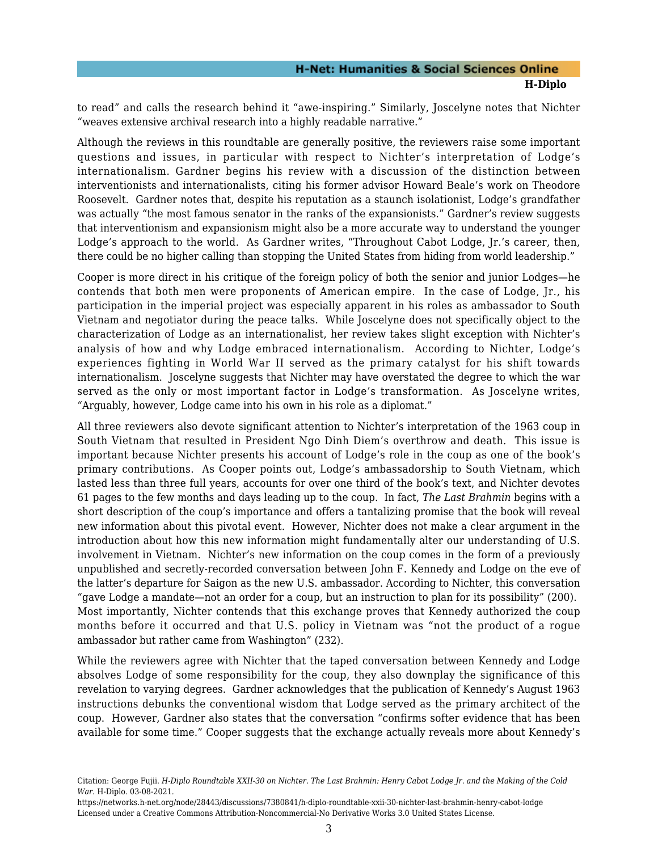to read" and calls the research behind it "awe-inspiring." Similarly, Joscelyne notes that Nichter "weaves extensive archival research into a highly readable narrative."

Although the reviews in this roundtable are generally positive, the reviewers raise some important questions and issues, in particular with respect to Nichter's interpretation of Lodge's internationalism. Gardner begins his review with a discussion of the distinction between interventionists and internationalists, citing his former advisor Howard Beale's work on Theodore Roosevelt. Gardner notes that, despite his reputation as a staunch isolationist, Lodge's grandfather was actually "the most famous senator in the ranks of the expansionists." Gardner's review suggests that interventionism and expansionism might also be a more accurate way to understand the younger Lodge's approach to the world. As Gardner writes, "Throughout Cabot Lodge, Jr.'s career, then, there could be no higher calling than stopping the United States from hiding from world leadership."

Cooper is more direct in his critique of the foreign policy of both the senior and junior Lodges—he contends that both men were proponents of American empire. In the case of Lodge, Jr., his participation in the imperial project was especially apparent in his roles as ambassador to South Vietnam and negotiator during the peace talks. While Joscelyne does not specifically object to the characterization of Lodge as an internationalist, her review takes slight exception with Nichter's analysis of how and why Lodge embraced internationalism. According to Nichter, Lodge's experiences fighting in World War II served as the primary catalyst for his shift towards internationalism. Joscelyne suggests that Nichter may have overstated the degree to which the war served as the only or most important factor in Lodge's transformation. As Joscelyne writes, "Arguably, however, Lodge came into his own in his role as a diplomat."

All three reviewers also devote significant attention to Nichter's interpretation of the 1963 coup in South Vietnam that resulted in President Ngo Dinh Diem's overthrow and death. This issue is important because Nichter presents his account of Lodge's role in the coup as one of the book's primary contributions. As Cooper points out, Lodge's ambassadorship to South Vietnam, which lasted less than three full years, accounts for over one third of the book's text, and Nichter devotes 61 pages to the few months and days leading up to the coup. In fact, *The Last Brahmin* begins with a short description of the coup's importance and offers a tantalizing promise that the book will reveal new information about this pivotal event. However, Nichter does not make a clear argument in the introduction about how this new information might fundamentally alter our understanding of U.S. involvement in Vietnam. Nichter's new information on the coup comes in the form of a previously unpublished and secretly-recorded conversation between John F. Kennedy and Lodge on the eve of the latter's departure for Saigon as the new U.S. ambassador. According to Nichter, this conversation "gave Lodge a mandate—not an order for a coup, but an instruction to plan for its possibility" (200). Most importantly, Nichter contends that this exchange proves that Kennedy authorized the coup months before it occurred and that U.S. policy in Vietnam was "not the product of a rogue ambassador but rather came from Washington" (232).

While the reviewers agree with Nichter that the taped conversation between Kennedy and Lodge absolves Lodge of some responsibility for the coup, they also downplay the significance of this revelation to varying degrees. Gardner acknowledges that the publication of Kennedy's August 1963 instructions debunks the conventional wisdom that Lodge served as the primary architect of the coup. However, Gardner also states that the conversation "confirms softer evidence that has been available for some time." Cooper suggests that the exchange actually reveals more about Kennedy's

Citation: George Fujii. *H-Diplo Roundtable XXII-30 on Nichter. The Last Brahmin: Henry Cabot Lodge Jr. and the Making of the Cold War*. H-Diplo. 03-08-2021.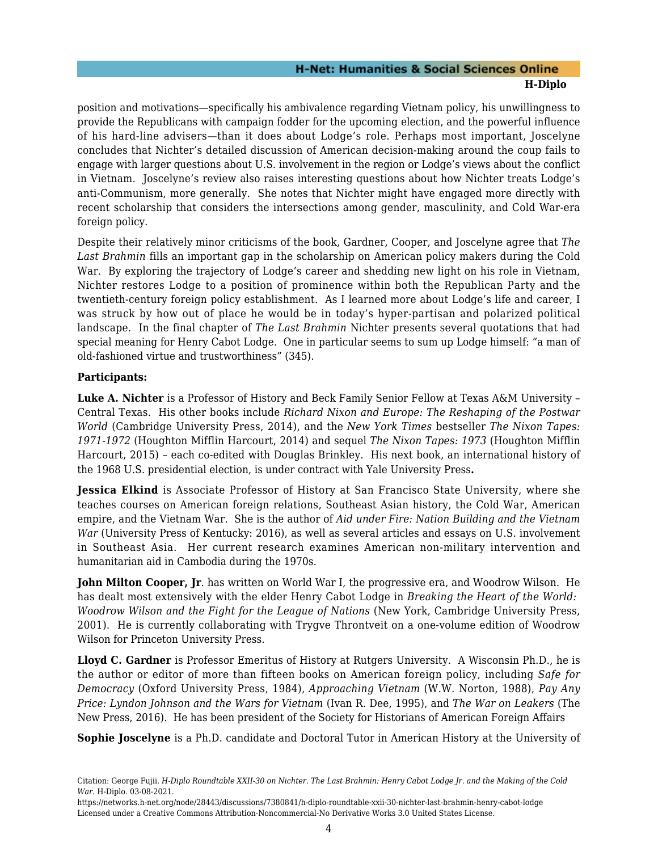position and motivations—specifically his ambivalence regarding Vietnam policy, his unwillingness to provide the Republicans with campaign fodder for the upcoming election, and the powerful influence of his hard-line advisers—than it does about Lodge's role. Perhaps most important, Joscelyne concludes that Nichter's detailed discussion of American decision-making around the coup fails to engage with larger questions about U.S. involvement in the region or Lodge's views about the conflict in Vietnam. Joscelyne's review also raises interesting questions about how Nichter treats Lodge's anti-Communism, more generally. She notes that Nichter might have engaged more directly with recent scholarship that considers the intersections among gender, masculinity, and Cold War-era foreign policy.

Despite their relatively minor criticisms of the book, Gardner, Cooper, and Joscelyne agree that *The Last Brahmin* fills an important gap in the scholarship on American policy makers during the Cold War. By exploring the trajectory of Lodge's career and shedding new light on his role in Vietnam, Nichter restores Lodge to a position of prominence within both the Republican Party and the twentieth-century foreign policy establishment. As I learned more about Lodge's life and career, I was struck by how out of place he would be in today's hyper-partisan and polarized political landscape. In the final chapter of *The Last Brahmin* Nichter presents several quotations that had special meaning for Henry Cabot Lodge. One in particular seems to sum up Lodge himself: "a man of old-fashioned virtue and trustworthiness" (345).

#### **Participants:**

**Luke A. Nichter** is a Professor of History and Beck Family Senior Fellow at Texas A&M University – Central Texas. His other books include *Richard Nixon and Europe: The Reshaping of the Postwar World* (Cambridge University Press, 2014), and the *New York Times* bestseller *The Nixon Tapes: 1971-1972* (Houghton Mifflin Harcourt, 2014) and sequel *The Nixon Tapes: 1973* (Houghton Mifflin Harcourt, 2015) – each co-edited with Douglas Brinkley. His next book, an international history of the 1968 U.S. presidential election, is under contract with Yale University Press**.**

**Jessica Elkind** is Associate Professor of History at San Francisco State University, where she teaches courses on American foreign relations, Southeast Asian history, the Cold War, American empire, and the Vietnam War. She is the author of *Aid under Fire: Nation Building and the Vietnam War* (University Press of Kentucky: 2016), as well as several articles and essays on U.S. involvement in Southeast Asia. Her current research examines American non-military intervention and humanitarian aid in Cambodia during the 1970s.

**John Milton Cooper, Jr**. has written on World War I, the progressive era, and Woodrow Wilson. He has dealt most extensively with the elder Henry Cabot Lodge in *Breaking the Heart of the World: Woodrow Wilson and the Fight for the League of Nations* (New York, Cambridge University Press, 2001). He is currently collaborating with Trygve Throntveit on a one-volume edition of Woodrow Wilson for Princeton University Press.

**Lloyd C. Gardner** is Professor Emeritus of History at Rutgers University. A Wisconsin Ph.D., he is the author or editor of more than fifteen books on American foreign policy, including *Safe for Democracy* (Oxford University Press, 1984), *Approaching Vietnam* (W.W. Norton, 1988), *Pay Any Price: Lyndon Johnson and the Wars for Vietnam* (Ivan R. Dee, 1995), and *The War on Leakers* (The New Press, 2016). He has been president of the Society for Historians of American Foreign Affairs

**Sophie Joscelyne** is a Ph.D. candidate and Doctoral Tutor in American History at the University of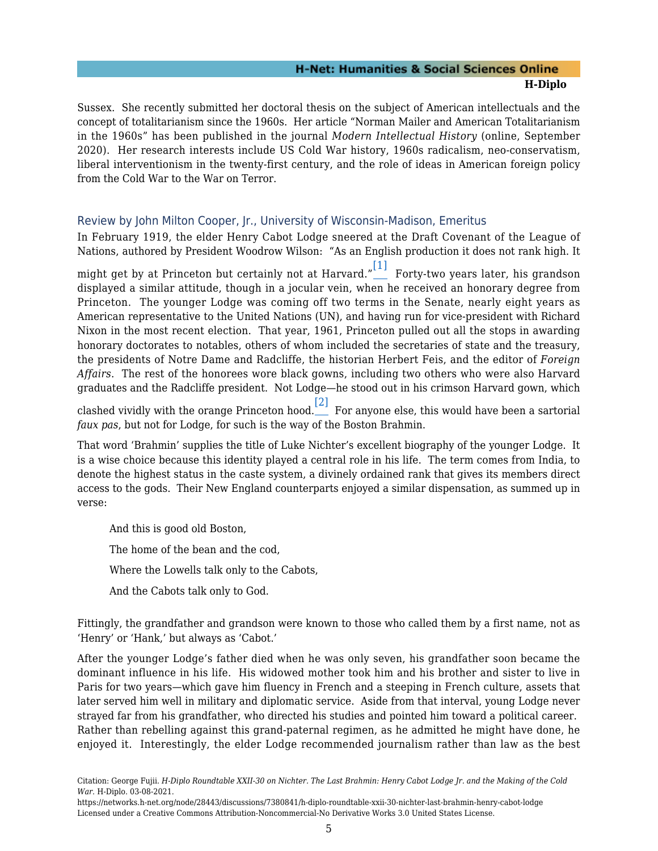Sussex. She recently submitted her doctoral thesis on the subject of American intellectuals and the concept of totalitarianism since the 1960s. Her article "Norman Mailer and American Totalitarianism in the 1960s" has been published in the journal *Modern Intellectual History* (online, September 2020). Her research interests include US Cold War history, 1960s radicalism, neo-conservatism, liberal interventionism in the twenty-first century, and the role of ideas in American foreign policy from the Cold War to the War on Terror.

#### <span id="page-6-0"></span>Review by John Milton Cooper, Jr., University of Wisconsin-Madison, Emeritus

<span id="page-6-1"></span>In February 1919, the elder Henry Cabot Lodge sneered at the Draft Covenant of the League of Nations, authored by President Woodrow Wilson: "As an English production it does not rank high. It might get by at Princeton but certainly not at Harvard." $\overset{[1]}{\rule{0.1cm}{0.5pt}}$  $\overset{[1]}{\rule{0.1cm}{0.5pt}}$  $\overset{[1]}{\rule{0.1cm}{0.5pt}}$  Forty-two years later, his grandson displayed a similar attitude, though in a jocular vein, when he received an honorary degree from Princeton. The younger Lodge was coming off two terms in the Senate, nearly eight years as American representative to the United Nations (UN), and having run for vice-president with Richard Nixon in the most recent election. That year, 1961, Princeton pulled out all the stops in awarding honorary doctorates to notables, others of whom included the secretaries of state and the treasury, the presidents of Notre Dame and Radcliffe, the historian Herbert Feis, and the editor of *Foreign Affairs*. The rest of the honorees wore black gowns, including two others who were also Harvard graduates and the Radcliffe president. Not Lodge—he stood out in his crimson Harvard gown, which

<span id="page-6-2"></span>clashed vividly with the orange Princeton hood. $\overset{[2]}{\ldots}$  $\overset{[2]}{\ldots}$  $\overset{[2]}{\ldots}$  For anyone else, this would have been a sartorial *faux pas*, but not for Lodge, for such is the way of the Boston Brahmin.

That word 'Brahmin' supplies the title of Luke Nichter's excellent biography of the younger Lodge. It is a wise choice because this identity played a central role in his life. The term comes from India, to denote the highest status in the caste system, a divinely ordained rank that gives its members direct access to the gods. Their New England counterparts enjoyed a similar dispensation, as summed up in verse:

And this is good old Boston, The home of the bean and the cod, Where the Lowells talk only to the Cabots, And the Cabots talk only to God.

Fittingly, the grandfather and grandson were known to those who called them by a first name, not as 'Henry' or 'Hank,' but always as 'Cabot.'

After the younger Lodge's father died when he was only seven, his grandfather soon became the dominant influence in his life. His widowed mother took him and his brother and sister to live in Paris for two years—which gave him fluency in French and a steeping in French culture, assets that later served him well in military and diplomatic service. Aside from that interval, young Lodge never strayed far from his grandfather, who directed his studies and pointed him toward a political career. Rather than rebelling against this grand-paternal regimen, as he admitted he might have done, he enjoyed it. Interestingly, the elder Lodge recommended journalism rather than law as the best

https://networks.h-net.org/node/28443/discussions/7380841/h-diplo-roundtable-xxii-30-nichter-last-brahmin-henry-cabot-lodge Licensed under a Creative Commons Attribution-Noncommercial-No Derivative Works 3.0 United States License.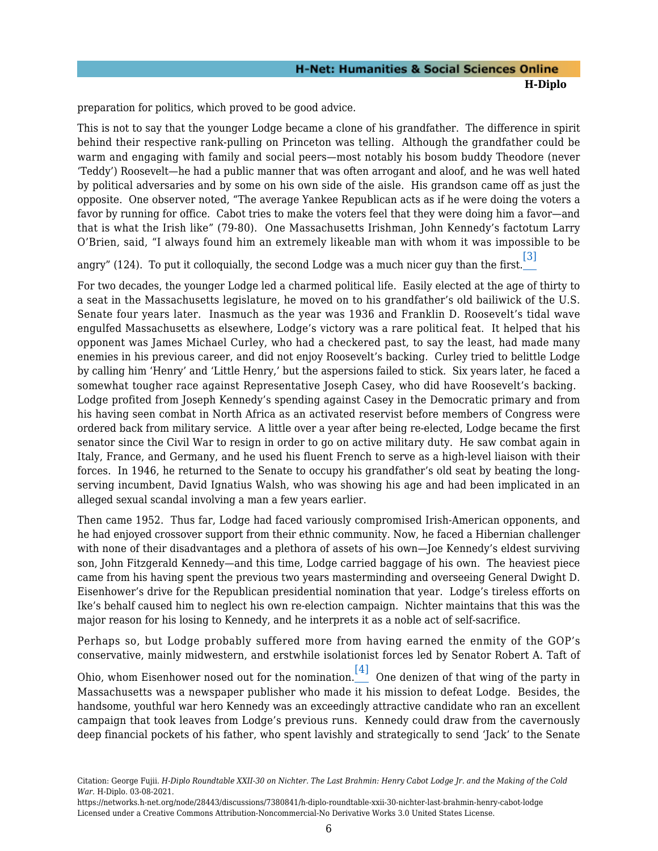preparation for politics, which proved to be good advice.

This is not to say that the younger Lodge became a clone of his grandfather. The difference in spirit behind their respective rank-pulling on Princeton was telling. Although the grandfather could be warm and engaging with family and social peers—most notably his bosom buddy Theodore (never 'Teddy') Roosevelt—he had a public manner that was often arrogant and aloof, and he was well hated by political adversaries and by some on his own side of the aisle. His grandson came off as just the opposite. One observer noted, "The average Yankee Republican acts as if he were doing the voters a favor by running for office. Cabot tries to make the voters feel that they were doing him a favor—and that is what the Irish like" (79-80). One Massachusetts Irishman, John Kennedy's factotum Larry O'Brien, said, "I always found him an extremely likeable man with whom it was impossible to be

<span id="page-7-0"></span>angry" (124). To put it colloquially, the second Lodge was a much nicer guy than the first. [\[3\]](#page-21-2)

For two decades, the younger Lodge led a charmed political life. Easily elected at the age of thirty to a seat in the Massachusetts legislature, he moved on to his grandfather's old bailiwick of the U.S. Senate four years later. Inasmuch as the year was 1936 and Franklin D. Roosevelt's tidal wave engulfed Massachusetts as elsewhere, Lodge's victory was a rare political feat. It helped that his opponent was James Michael Curley, who had a checkered past, to say the least, had made many enemies in his previous career, and did not enjoy Roosevelt's backing. Curley tried to belittle Lodge by calling him 'Henry' and 'Little Henry,' but the aspersions failed to stick. Six years later, he faced a somewhat tougher race against Representative Joseph Casey, who did have Roosevelt's backing. Lodge profited from Joseph Kennedy's spending against Casey in the Democratic primary and from his having seen combat in North Africa as an activated reservist before members of Congress were ordered back from military service. A little over a year after being re-elected, Lodge became the first senator since the Civil War to resign in order to go on active military duty. He saw combat again in Italy, France, and Germany, and he used his fluent French to serve as a high-level liaison with their forces. In 1946, he returned to the Senate to occupy his grandfather's old seat by beating the longserving incumbent, David Ignatius Walsh, who was showing his age and had been implicated in an alleged sexual scandal involving a man a few years earlier.

Then came 1952. Thus far, Lodge had faced variously compromised Irish-American opponents, and he had enjoyed crossover support from their ethnic community. Now, he faced a Hibernian challenger with none of their disadvantages and a plethora of assets of his own—Joe Kennedy's eldest surviving son, John Fitzgerald Kennedy—and this time, Lodge carried baggage of his own. The heaviest piece came from his having spent the previous two years masterminding and overseeing General Dwight D. Eisenhower's drive for the Republican presidential nomination that year. Lodge's tireless efforts on Ike's behalf caused him to neglect his own re-election campaign. Nichter maintains that this was the major reason for his losing to Kennedy, and he interprets it as a noble act of self-sacrifice.

Perhaps so, but Lodge probably suffered more from having earned the enmity of the GOP's conservative, mainly midwestern, and erstwhile isolationist forces led by Senator Robert A. Taft of

<span id="page-7-1"></span>Ohio, whom Eisenhower nosed out for the nomination.  $\boxed{[4]}$  $\boxed{[4]}$  $\boxed{[4]}$  One denizen of that wing of the party in Massachusetts was a newspaper publisher who made it his mission to defeat Lodge. Besides, the handsome, youthful war hero Kennedy was an exceedingly attractive candidate who ran an excellent campaign that took leaves from Lodge's previous runs. Kennedy could draw from the cavernously deep financial pockets of his father, who spent lavishly and strategically to send 'Jack' to the Senate

Citation: George Fujii. *H-Diplo Roundtable XXII-30 on Nichter. The Last Brahmin: Henry Cabot Lodge Jr. and the Making of the Cold War*. H-Diplo. 03-08-2021.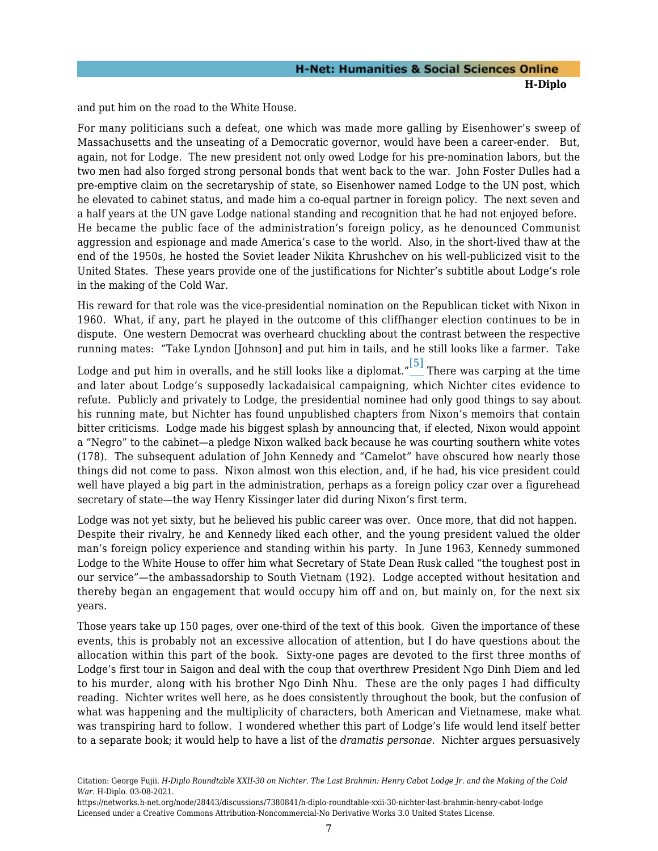and put him on the road to the White House.

For many politicians such a defeat, one which was made more galling by Eisenhower's sweep of Massachusetts and the unseating of a Democratic governor, would have been a career-ender. But, again, not for Lodge. The new president not only owed Lodge for his pre-nomination labors, but the two men had also forged strong personal bonds that went back to the war. John Foster Dulles had a pre-emptive claim on the secretaryship of state, so Eisenhower named Lodge to the UN post, which he elevated to cabinet status, and made him a co-equal partner in foreign policy. The next seven and a half years at the UN gave Lodge national standing and recognition that he had not enjoyed before. He became the public face of the administration's foreign policy, as he denounced Communist aggression and espionage and made America's case to the world. Also, in the short-lived thaw at the end of the 1950s, he hosted the Soviet leader Nikita Khrushchev on his well-publicized visit to the United States. These years provide one of the justifications for Nichter's subtitle about Lodge's role in the making of the Cold War.

His reward for that role was the vice-presidential nomination on the Republican ticket with Nixon in 1960. What, if any, part he played in the outcome of this cliffhanger election continues to be in dispute. One western Democrat was overheard chuckling about the contrast between the respective running mates: "Take Lyndon [Johnson] and put him in tails, and he still looks like a farmer. Take

<span id="page-8-0"></span>Lodge and put him in overalls, and he still looks like a diplomat." $\stackrel{[5]}{\ldots}$  $\stackrel{[5]}{\ldots}$  $\stackrel{[5]}{\ldots}$  There was carping at the time and later about Lodge's supposedly lackadaisical campaigning, which Nichter cites evidence to refute. Publicly and privately to Lodge, the presidential nominee had only good things to say about his running mate, but Nichter has found unpublished chapters from Nixon's memoirs that contain bitter criticisms. Lodge made his biggest splash by announcing that, if elected, Nixon would appoint a "Negro" to the cabinet—a pledge Nixon walked back because he was courting southern white votes (178). The subsequent adulation of John Kennedy and "Camelot" have obscured how nearly those things did not come to pass. Nixon almost won this election, and, if he had, his vice president could well have played a big part in the administration, perhaps as a foreign policy czar over a figurehead secretary of state—the way Henry Kissinger later did during Nixon's first term.

Lodge was not yet sixty, but he believed his public career was over. Once more, that did not happen. Despite their rivalry, he and Kennedy liked each other, and the young president valued the older man's foreign policy experience and standing within his party. In June 1963, Kennedy summoned Lodge to the White House to offer him what Secretary of State Dean Rusk called "the toughest post in our service"—the ambassadorship to South Vietnam (192). Lodge accepted without hesitation and thereby began an engagement that would occupy him off and on, but mainly on, for the next six years.

Those years take up 150 pages, over one-third of the text of this book. Given the importance of these events, this is probably not an excessive allocation of attention, but I do have questions about the allocation within this part of the book. Sixty-one pages are devoted to the first three months of Lodge's first tour in Saigon and deal with the coup that overthrew President Ngo Dinh Diem and led to his murder, along with his brother Ngo Dinh Nhu. These are the only pages I had difficulty reading. Nichter writes well here, as he does consistently throughout the book, but the confusion of what was happening and the multiplicity of characters, both American and Vietnamese, make what was transpiring hard to follow. I wondered whether this part of Lodge's life would lend itself better to a separate book; it would help to have a list of the *dramatis personae.* Nichter argues persuasively

Citation: George Fujii. *H-Diplo Roundtable XXII-30 on Nichter. The Last Brahmin: Henry Cabot Lodge Jr. and the Making of the Cold War*. H-Diplo. 03-08-2021.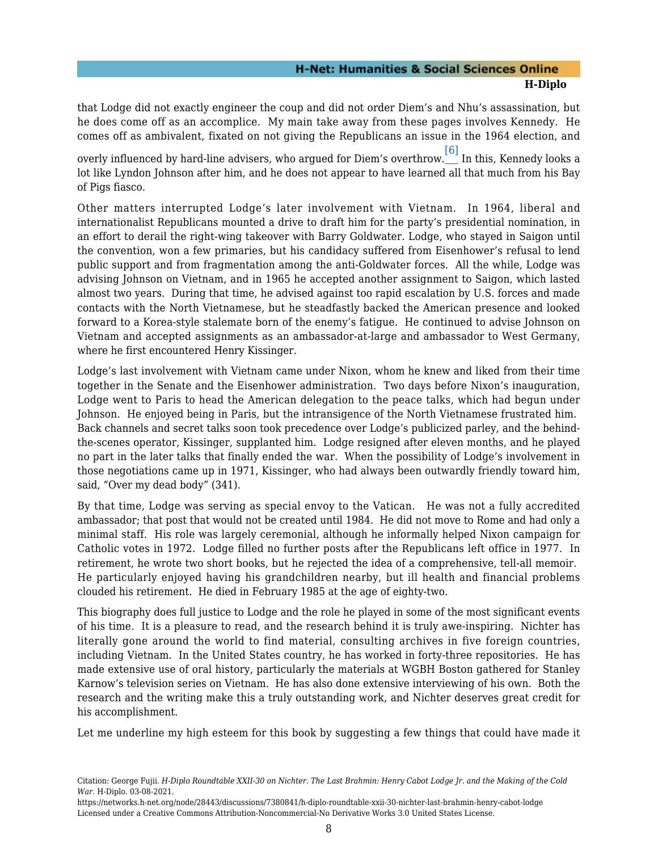that Lodge did not exactly engineer the coup and did not order Diem's and Nhu's assassination, but he does come off as an accomplice. My main take away from these pages involves Kennedy. He comes off as ambivalent, fixated on not giving the Republicans an issue in the 1964 election, and

<span id="page-9-0"></span>overly influenced by hard-line advisers, who argued for Diem's overthrow. $\overline{\phantom{a} \,\phantom{a}^{[6]}}$  $\overline{\phantom{a} \,\phantom{a}^{[6]}}$  $\overline{\phantom{a} \,\phantom{a}^{[6]}}$  In this, Kennedy looks a lot like Lyndon Johnson after him, and he does not appear to have learned all that much from his Bay of Pigs fiasco.

Other matters interrupted Lodge's later involvement with Vietnam. In 1964, liberal and internationalist Republicans mounted a drive to draft him for the party's presidential nomination, in an effort to derail the right-wing takeover with Barry Goldwater. Lodge, who stayed in Saigon until the convention, won a few primaries, but his candidacy suffered from Eisenhower's refusal to lend public support and from fragmentation among the anti-Goldwater forces. All the while, Lodge was advising Johnson on Vietnam, and in 1965 he accepted another assignment to Saigon, which lasted almost two years. During that time, he advised against too rapid escalation by U.S. forces and made contacts with the North Vietnamese, but he steadfastly backed the American presence and looked forward to a Korea-style stalemate born of the enemy's fatigue. He continued to advise Johnson on Vietnam and accepted assignments as an ambassador-at-large and ambassador to West Germany, where he first encountered Henry Kissinger.

Lodge's last involvement with Vietnam came under Nixon, whom he knew and liked from their time together in the Senate and the Eisenhower administration. Two days before Nixon's inauguration, Lodge went to Paris to head the American delegation to the peace talks, which had begun under Johnson. He enjoyed being in Paris, but the intransigence of the North Vietnamese frustrated him. Back channels and secret talks soon took precedence over Lodge's publicized parley, and the behindthe-scenes operator, Kissinger, supplanted him. Lodge resigned after eleven months, and he played no part in the later talks that finally ended the war. When the possibility of Lodge's involvement in those negotiations came up in 1971, Kissinger, who had always been outwardly friendly toward him, said, "Over my dead body" (341).

By that time, Lodge was serving as special envoy to the Vatican. He was not a fully accredited ambassador; that post that would not be created until 1984. He did not move to Rome and had only a minimal staff. His role was largely ceremonial, although he informally helped Nixon campaign for Catholic votes in 1972. Lodge filled no further posts after the Republicans left office in 1977. In retirement, he wrote two short books, but he rejected the idea of a comprehensive, tell-all memoir. He particularly enjoyed having his grandchildren nearby, but ill health and financial problems clouded his retirement. He died in February 1985 at the age of eighty-two.

This biography does full justice to Lodge and the role he played in some of the most significant events of his time. It is a pleasure to read, and the research behind it is truly awe-inspiring. Nichter has literally gone around the world to find material, consulting archives in five foreign countries, including Vietnam. In the United States country, he has worked in forty-three repositories. He has made extensive use of oral history, particularly the materials at WGBH Boston gathered for Stanley Karnow's television series on Vietnam. He has also done extensive interviewing of his own. Both the research and the writing make this a truly outstanding work, and Nichter deserves great credit for his accomplishment.

Let me underline my high esteem for this book by suggesting a few things that could have made it

Citation: George Fujii. *H-Diplo Roundtable XXII-30 on Nichter. The Last Brahmin: Henry Cabot Lodge Jr. and the Making of the Cold War*. H-Diplo. 03-08-2021.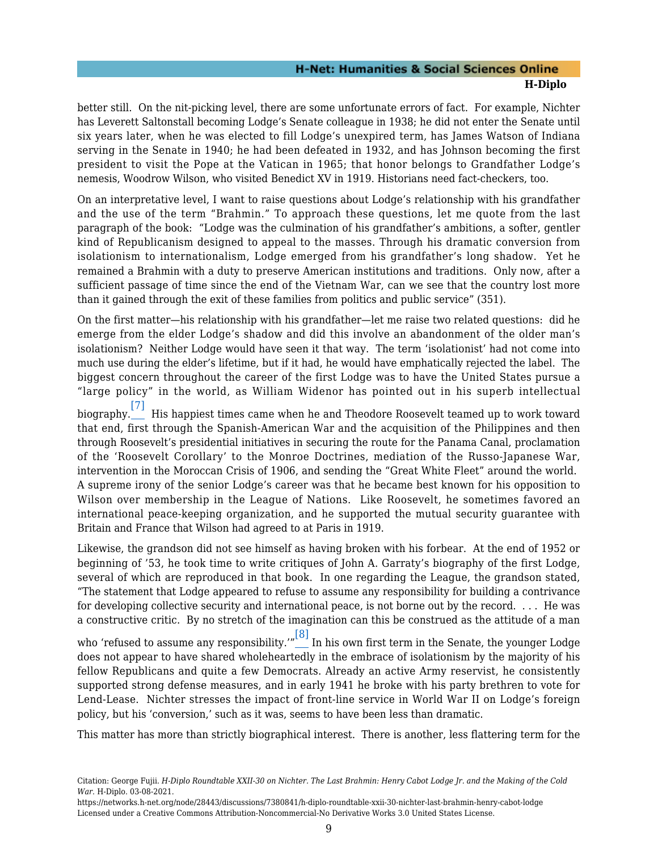better still. On the nit-picking level, there are some unfortunate errors of fact. For example, Nichter has Leverett Saltonstall becoming Lodge's Senate colleague in 1938; he did not enter the Senate until six years later, when he was elected to fill Lodge's unexpired term, has James Watson of Indiana serving in the Senate in 1940; he had been defeated in 1932, and has Johnson becoming the first president to visit the Pope at the Vatican in 1965; that honor belongs to Grandfather Lodge's nemesis, Woodrow Wilson, who visited Benedict XV in 1919. Historians need fact-checkers, too.

On an interpretative level, I want to raise questions about Lodge's relationship with his grandfather and the use of the term "Brahmin." To approach these questions, let me quote from the last paragraph of the book: "Lodge was the culmination of his grandfather's ambitions, a softer, gentler kind of Republicanism designed to appeal to the masses. Through his dramatic conversion from isolationism to internationalism, Lodge emerged from his grandfather's long shadow. Yet he remained a Brahmin with a duty to preserve American institutions and traditions. Only now, after a sufficient passage of time since the end of the Vietnam War, can we see that the country lost more than it gained through the exit of these families from politics and public service" (351).

On the first matter—his relationship with his grandfather—let me raise two related questions: did he emerge from the elder Lodge's shadow and did this involve an abandonment of the older man's isolationism? Neither Lodge would have seen it that way. The term 'isolationist' had not come into much use during the elder's lifetime, but if it had, he would have emphatically rejected the label. The biggest concern throughout the career of the first Lodge was to have the United States pursue a "large policy" in the world, as William Widenor has pointed out in his superb intellectual

<span id="page-10-0"></span>biography. [\[7\]](#page-21-6) His happiest times came when he and Theodore Roosevelt teamed up to work toward that end, first through the Spanish-American War and the acquisition of the Philippines and then through Roosevelt's presidential initiatives in securing the route for the Panama Canal, proclamation of the 'Roosevelt Corollary' to the Monroe Doctrines, mediation of the Russo-Japanese War, intervention in the Moroccan Crisis of 1906, and sending the "Great White Fleet" around the world. A supreme irony of the senior Lodge's career was that he became best known for his opposition to Wilson over membership in the League of Nations. Like Roosevelt, he sometimes favored an international peace-keeping organization, and he supported the mutual security guarantee with Britain and France that Wilson had agreed to at Paris in 1919.

Likewise, the grandson did not see himself as having broken with his forbear. At the end of 1952 or beginning of '53, he took time to write critiques of John A. Garraty's biography of the first Lodge, several of which are reproduced in that book. In one regarding the League, the grandson stated, "The statement that Lodge appeared to refuse to assume any responsibility for building a contrivance for developing collective security and international peace, is not borne out by the record. . . . He was a constructive critic. By no stretch of the imagination can this be construed as the attitude of a man

<span id="page-10-1"></span>who 'refused to assume any responsibility.'" [\[8\]](#page-21-7) In his own first term in the Senate, the younger Lodge does not appear to have shared wholeheartedly in the embrace of isolationism by the majority of his fellow Republicans and quite a few Democrats. Already an active Army reservist, he consistently supported strong defense measures, and in early 1941 he broke with his party brethren to vote for Lend-Lease. Nichter stresses the impact of front-line service in World War II on Lodge's foreign policy, but his 'conversion,' such as it was, seems to have been less than dramatic.

This matter has more than strictly biographical interest. There is another, less flattering term for the

Citation: George Fujii. *H-Diplo Roundtable XXII-30 on Nichter. The Last Brahmin: Henry Cabot Lodge Jr. and the Making of the Cold War*. H-Diplo. 03-08-2021.

https://networks.h-net.org/node/28443/discussions/7380841/h-diplo-roundtable-xxii-30-nichter-last-brahmin-henry-cabot-lodge Licensed under a Creative Commons Attribution-Noncommercial-No Derivative Works 3.0 United States License.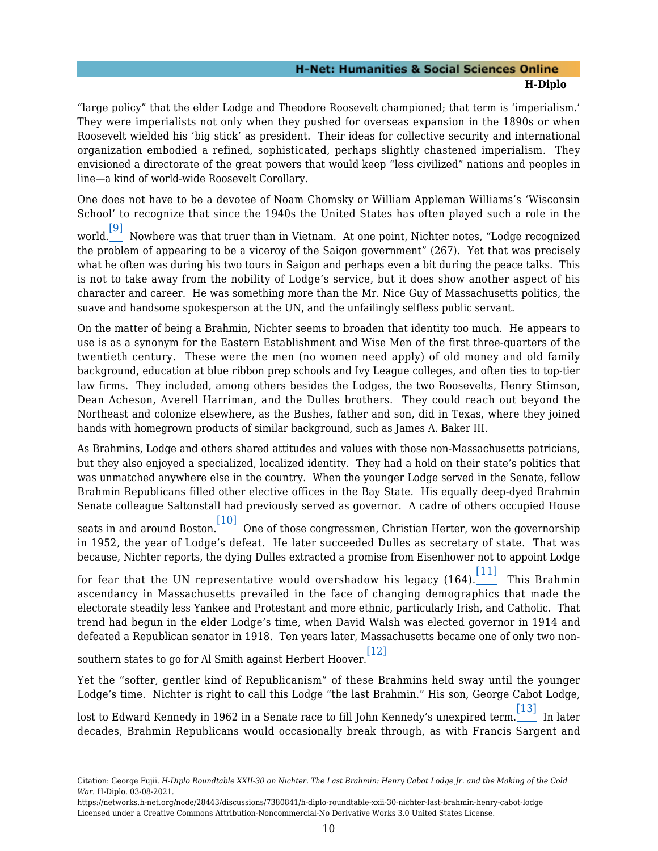"large policy" that the elder Lodge and Theodore Roosevelt championed; that term is 'imperialism.' They were imperialists not only when they pushed for overseas expansion in the 1890s or when Roosevelt wielded his 'big stick' as president. Their ideas for collective security and international organization embodied a refined, sophisticated, perhaps slightly chastened imperialism. They envisioned a directorate of the great powers that would keep "less civilized" nations and peoples in line—a kind of world-wide Roosevelt Corollary.

<span id="page-11-0"></span>One does not have to be a devotee of Noam Chomsky or William Appleman Williams's 'Wisconsin School' to recognize that since the 1940s the United States has often played such a role in the

world.\_\_\_ Nowhere was that truer than in Vietnam. At one point, Nichter notes, "Lodge recognized the problem of appearing to be a viceroy of the Saigon government" (267). Yet that was precisely what he often was during his two tours in Saigon and perhaps even a bit during the peace talks. This is not to take away from the nobility of Lodge's service, but it does show another aspect of his character and career. He was something more than the Mr. Nice Guy of Massachusetts politics, the suave and handsome spokesperson at the UN, and the unfailingly selfless public servant.

On the matter of being a Brahmin, Nichter seems to broaden that identity too much. He appears to use is as a synonym for the Eastern Establishment and Wise Men of the first three-quarters of the twentieth century. These were the men (no women need apply) of old money and old family background, education at blue ribbon prep schools and Ivy League colleges, and often ties to top-tier law firms. They included, among others besides the Lodges, the two Roosevelts, Henry Stimson, Dean Acheson, Averell Harriman, and the Dulles brothers. They could reach out beyond the Northeast and colonize elsewhere, as the Bushes, father and son, did in Texas, where they joined hands with homegrown products of similar background, such as James A. Baker III.

As Brahmins, Lodge and others shared attitudes and values with those non-Massachusetts patricians, but they also enjoyed a specialized, localized identity. They had a hold on their state's politics that was unmatched anywhere else in the country. When the younger Lodge served in the Senate, fellow Brahmin Republicans filled other elective offices in the Bay State. His equally deep-dyed Brahmin Senate colleague Saltonstall had previously served as governor. A cadre of others occupied House

<span id="page-11-1"></span>seats in and around Boston.\_\_\_\_\_ One of those congressmen, Christian Herter, won the governorship in 1952, the year of Lodge's defeat. He later succeeded Dulles as secretary of state. That was because, Nichter reports, the dying Dulles extracted a promise from Eisenhower not to appoint Lodge

<span id="page-11-2"></span>for fear that the UN representative would overshadow his legacy (164). $\begin{bmatrix} 11 \end{bmatrix}$  This Brahmin ascendancy in Massachusetts prevailed in the face of changing demographics that made the electorate steadily less Yankee and Protestant and more ethnic, particularly Irish, and Catholic. That trend had begun in the elder Lodge's time, when David Walsh was elected governor in 1914 and defeated a Republican senator in 1918. Ten years later, Massachusetts became one of only two non-

<span id="page-11-3"></span>southern states to go for Al Smith against Herbert Hoover. [\[12\]](#page-22-3)

Yet the "softer, gentler kind of Republicanism" of these Brahmins held sway until the younger Lodge's time. Nichter is right to call this Lodge "the last Brahmin." His son, George Cabot Lodge,

<span id="page-11-4"></span>lost to Edward Kennedy in 1962 in a Senate race to fill John Kennedy's unexpired term. [\[13\]](#page-22-4) In later decades, Brahmin Republicans would occasionally break through, as with Francis Sargent and

Citation: George Fujii. *H-Diplo Roundtable XXII-30 on Nichter. The Last Brahmin: Henry Cabot Lodge Jr. and the Making of the Cold War*. H-Diplo. 03-08-2021.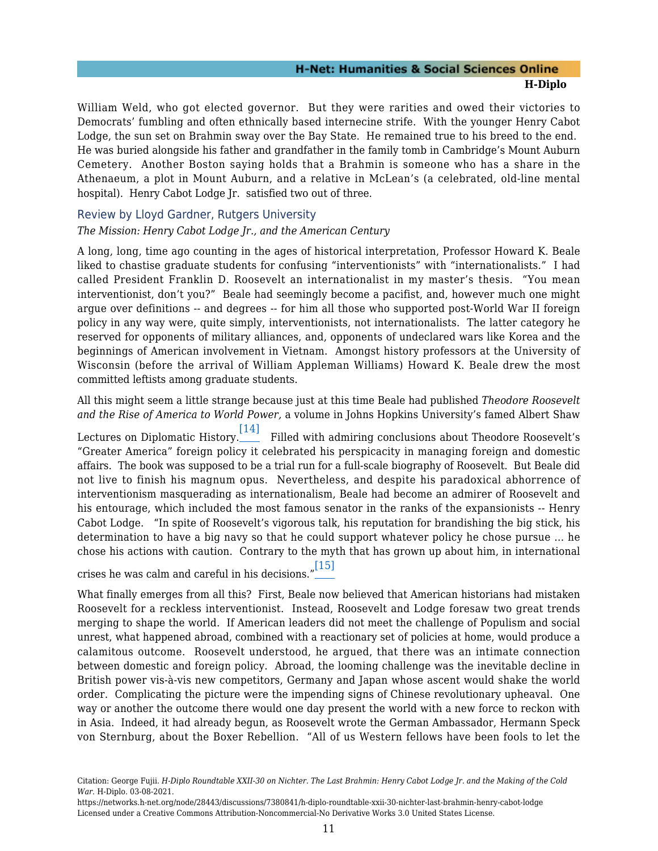William Weld, who got elected governor. But they were rarities and owed their victories to Democrats' fumbling and often ethnically based internecine strife. With the younger Henry Cabot Lodge, the sun set on Brahmin sway over the Bay State. He remained true to his breed to the end. He was buried alongside his father and grandfather in the family tomb in Cambridge's Mount Auburn Cemetery. Another Boston saying holds that a Brahmin is someone who has a share in the Athenaeum, a plot in Mount Auburn, and a relative in McLean's (a celebrated, old-line mental hospital). Henry Cabot Lodge Jr. satisfied two out of three.

#### <span id="page-12-0"></span>Review by Lloyd Gardner, Rutgers University

#### *The Mission: Henry Cabot Lodge Jr., and the American Century*

A long, long, time ago counting in the ages of historical interpretation, Professor Howard K. Beale liked to chastise graduate students for confusing "interventionists" with "internationalists." I had called President Franklin D. Roosevelt an internationalist in my master's thesis. "You mean interventionist, don't you?" Beale had seemingly become a pacifist, and, however much one might argue over definitions -- and degrees -- for him all those who supported post-World War II foreign policy in any way were, quite simply, interventionists, not internationalists. The latter category he reserved for opponents of military alliances, and, opponents of undeclared wars like Korea and the beginnings of American involvement in Vietnam. Amongst history professors at the University of Wisconsin (before the arrival of William Appleman Williams) Howard K. Beale drew the most committed leftists among graduate students.

All this might seem a little strange because just at this time Beale had published *Theodore Roosevelt and the Rise of America to World Power,* a volume in Johns Hopkins University's famed Albert Shaw

<span id="page-12-1"></span>Lectures on Diplomatic History. $\frac{[14]}{}$  $\frac{[14]}{}$  $\frac{[14]}{}$  Filled with admiring conclusions about Theodore Roosevelt's "Greater America" foreign policy it celebrated his perspicacity in managing foreign and domestic affairs. The book was supposed to be a trial run for a full-scale biography of Roosevelt. But Beale did not live to finish his magnum opus. Nevertheless, and despite his paradoxical abhorrence of interventionism masquerading as internationalism, Beale had become an admirer of Roosevelt and his entourage, which included the most famous senator in the ranks of the expansionists -- Henry Cabot Lodge. "In spite of Roosevelt's vigorous talk, his reputation for brandishing the big stick, his determination to have a big navy so that he could support whatever policy he chose pursue ... he chose his actions with caution. Contrary to the myth that has grown up about him, in international

<span id="page-12-2"></span>crises he was calm and careful in his decisions." $\frac{15!}{\sqrt{25}}$ 

What finally emerges from all this? First, Beale now believed that American historians had mistaken Roosevelt for a reckless interventionist. Instead, Roosevelt and Lodge foresaw two great trends merging to shape the world. If American leaders did not meet the challenge of Populism and social unrest, what happened abroad, combined with a reactionary set of policies at home, would produce a calamitous outcome. Roosevelt understood, he argued, that there was an intimate connection between domestic and foreign policy. Abroad, the looming challenge was the inevitable decline in British power vis-à-vis new competitors, Germany and Japan whose ascent would shake the world order. Complicating the picture were the impending signs of Chinese revolutionary upheaval. One way or another the outcome there would one day present the world with a new force to reckon with in Asia. Indeed, it had already begun, as Roosevelt wrote the German Ambassador, Hermann Speck von Sternburg, about the Boxer Rebellion. "All of us Western fellows have been fools to let the

<span id="page-12-3"></span>Citation: George Fujii. *H-Diplo Roundtable XXII-30 on Nichter. The Last Brahmin: Henry Cabot Lodge Jr. and the Making of the Cold War*. H-Diplo. 03-08-2021.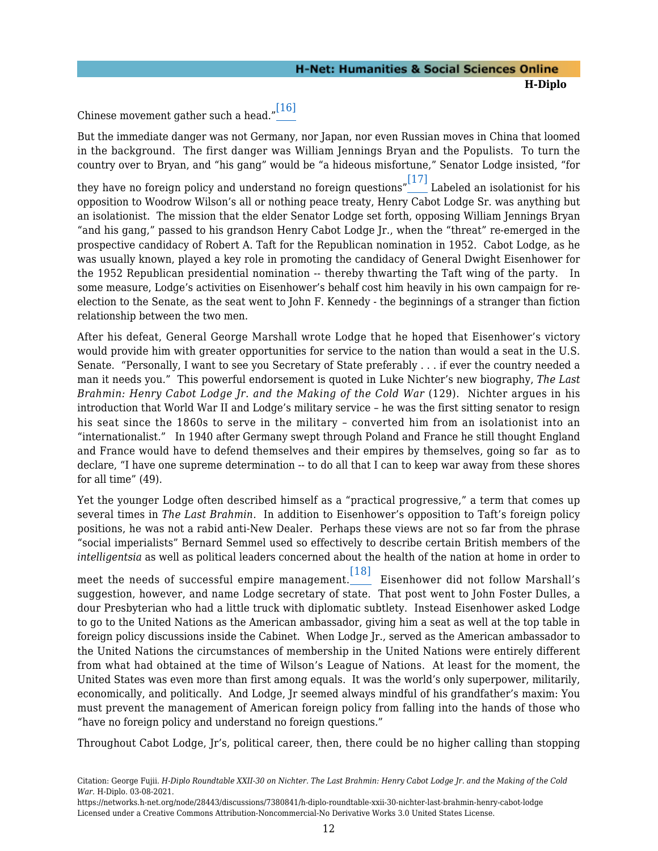## Chinese movement gather such a head." [\[16\]](#page-22-7)

But the immediate danger was not Germany, nor Japan, nor even Russian moves in China that loomed in the background. The first danger was William Jennings Bryan and the Populists. To turn the country over to Bryan, and "his gang" would be "a hideous misfortune," Senator Lodge insisted, "for

<span id="page-13-0"></span>they have no foreign policy and understand no foreign questions" $\frac{[17]}{]}$  $\frac{[17]}{]}$  $\frac{[17]}{]}$  Labeled an isolationist for his opposition to Woodrow Wilson's all or nothing peace treaty, Henry Cabot Lodge Sr. was anything but an isolationist. The mission that the elder Senator Lodge set forth, opposing William Jennings Bryan "and his gang," passed to his grandson Henry Cabot Lodge Jr., when the "threat" re-emerged in the prospective candidacy of Robert A. Taft for the Republican nomination in 1952. Cabot Lodge, as he was usually known, played a key role in promoting the candidacy of General Dwight Eisenhower for the 1952 Republican presidential nomination -- thereby thwarting the Taft wing of the party. In some measure, Lodge's activities on Eisenhower's behalf cost him heavily in his own campaign for reelection to the Senate, as the seat went to John F. Kennedy - the beginnings of a stranger than fiction relationship between the two men.

After his defeat, General George Marshall wrote Lodge that he hoped that Eisenhower's victory would provide him with greater opportunities for service to the nation than would a seat in the U.S. Senate. "Personally, I want to see you Secretary of State preferably . . . if ever the country needed a man it needs you." This powerful endorsement is quoted in Luke Nichter's new biography, *The Last Brahmin: Henry Cabot Lodge Jr. and the Making of the Cold War* (129). Nichter argues in his introduction that World War II and Lodge's military service – he was the first sitting senator to resign his seat since the 1860s to serve in the military – converted him from an isolationist into an "internationalist." In 1940 after Germany swept through Poland and France he still thought England and France would have to defend themselves and their empires by themselves, going so far as to declare, "I have one supreme determination -- to do all that I can to keep war away from these shores for all time" (49).

Yet the younger Lodge often described himself as a "practical progressive," a term that comes up several times in *The Last Brahmin.* In addition to Eisenhower's opposition to Taft's foreign policy positions, he was not a rabid anti-New Dealer. Perhaps these views are not so far from the phrase "social imperialists" Bernard Semmel used so effectively to describe certain British members of the *intelligentsia* as well as political leaders concerned about the health of the nation at home in order to

<span id="page-13-1"></span>meet the needs of successful empire management. [\[18\]](#page-22-9) Eisenhower did not follow Marshall's suggestion, however, and name Lodge secretary of state. That post went to John Foster Dulles, a dour Presbyterian who had a little truck with diplomatic subtlety. Instead Eisenhower asked Lodge to go to the United Nations as the American ambassador, giving him a seat as well at the top table in foreign policy discussions inside the Cabinet. When Lodge Jr., served as the American ambassador to the United Nations the circumstances of membership in the United Nations were entirely different from what had obtained at the time of Wilson's League of Nations. At least for the moment, the United States was even more than first among equals. It was the world's only superpower, militarily, economically, and politically. And Lodge, Jr seemed always mindful of his grandfather's maxim: You must prevent the management of American foreign policy from falling into the hands of those who "have no foreign policy and understand no foreign questions."

Throughout Cabot Lodge, Jr's, political career, then, there could be no higher calling than stopping

Citation: George Fujii. *H-Diplo Roundtable XXII-30 on Nichter. The Last Brahmin: Henry Cabot Lodge Jr. and the Making of the Cold War*. H-Diplo. 03-08-2021.

https://networks.h-net.org/node/28443/discussions/7380841/h-diplo-roundtable-xxii-30-nichter-last-brahmin-henry-cabot-lodge Licensed under a Creative Commons Attribution-Noncommercial-No Derivative Works 3.0 United States License.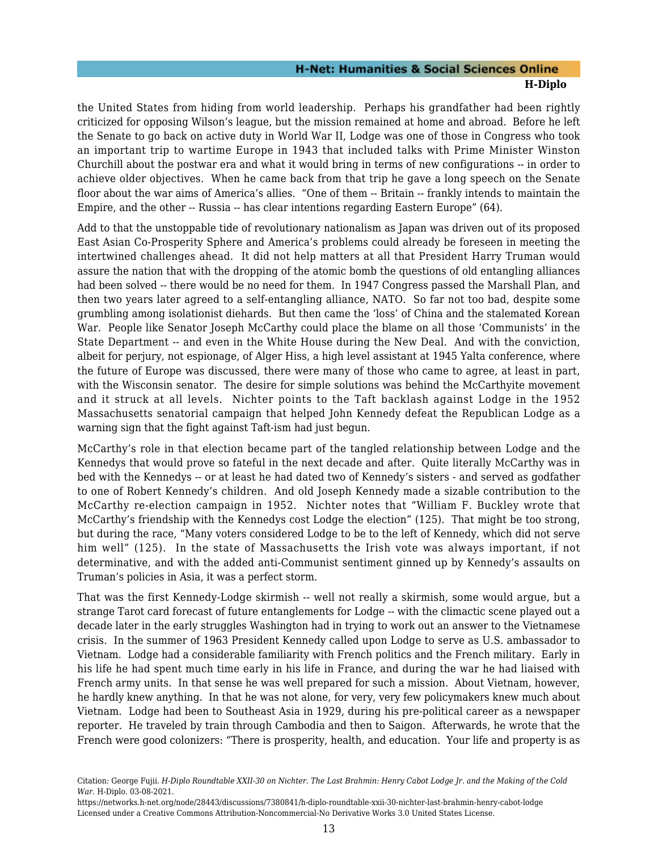the United States from hiding from world leadership. Perhaps his grandfather had been rightly criticized for opposing Wilson's league, but the mission remained at home and abroad. Before he left the Senate to go back on active duty in World War II, Lodge was one of those in Congress who took an important trip to wartime Europe in 1943 that included talks with Prime Minister Winston Churchill about the postwar era and what it would bring in terms of new configurations -- in order to achieve older objectives. When he came back from that trip he gave a long speech on the Senate floor about the war aims of America's allies. "One of them -- Britain -- frankly intends to maintain the Empire, and the other -- Russia -- has clear intentions regarding Eastern Europe" (64).

Add to that the unstoppable tide of revolutionary nationalism as Japan was driven out of its proposed East Asian Co-Prosperity Sphere and America's problems could already be foreseen in meeting the intertwined challenges ahead. It did not help matters at all that President Harry Truman would assure the nation that with the dropping of the atomic bomb the questions of old entangling alliances had been solved -- there would be no need for them. In 1947 Congress passed the Marshall Plan, and then two years later agreed to a self-entangling alliance, NATO. So far not too bad, despite some grumbling among isolationist diehards. But then came the 'loss' of China and the stalemated Korean War. People like Senator Joseph McCarthy could place the blame on all those 'Communists' in the State Department -- and even in the White House during the New Deal. And with the conviction, albeit for perjury, not espionage, of Alger Hiss, a high level assistant at 1945 Yalta conference, where the future of Europe was discussed, there were many of those who came to agree, at least in part, with the Wisconsin senator. The desire for simple solutions was behind the McCarthyite movement and it struck at all levels. Nichter points to the Taft backlash against Lodge in the 1952 Massachusetts senatorial campaign that helped John Kennedy defeat the Republican Lodge as a warning sign that the fight against Taft-ism had just begun.

McCarthy's role in that election became part of the tangled relationship between Lodge and the Kennedys that would prove so fateful in the next decade and after. Quite literally McCarthy was in bed with the Kennedys -- or at least he had dated two of Kennedy's sisters - and served as godfather to one of Robert Kennedy's children. And old Joseph Kennedy made a sizable contribution to the McCarthy re-election campaign in 1952. Nichter notes that "William F. Buckley wrote that McCarthy's friendship with the Kennedys cost Lodge the election" (125). That might be too strong, but during the race, "Many voters considered Lodge to be to the left of Kennedy, which did not serve him well" (125). In the state of Massachusetts the Irish vote was always important, if not determinative, and with the added anti-Communist sentiment ginned up by Kennedy's assaults on Truman's policies in Asia, it was a perfect storm.

That was the first Kennedy-Lodge skirmish -- well not really a skirmish, some would argue, but a strange Tarot card forecast of future entanglements for Lodge -- with the climactic scene played out a decade later in the early struggles Washington had in trying to work out an answer to the Vietnamese crisis. In the summer of 1963 President Kennedy called upon Lodge to serve as U.S. ambassador to Vietnam. Lodge had a considerable familiarity with French politics and the French military. Early in his life he had spent much time early in his life in France, and during the war he had liaised with French army units. In that sense he was well prepared for such a mission. About Vietnam, however, he hardly knew anything. In that he was not alone, for very, very few policymakers knew much about Vietnam. Lodge had been to Southeast Asia in 1929, during his pre-political career as a newspaper reporter. He traveled by train through Cambodia and then to Saigon. Afterwards, he wrote that the French were good colonizers: "There is prosperity, health, and education. Your life and property is as

Citation: George Fujii. *H-Diplo Roundtable XXII-30 on Nichter. The Last Brahmin: Henry Cabot Lodge Jr. and the Making of the Cold War*. H-Diplo. 03-08-2021.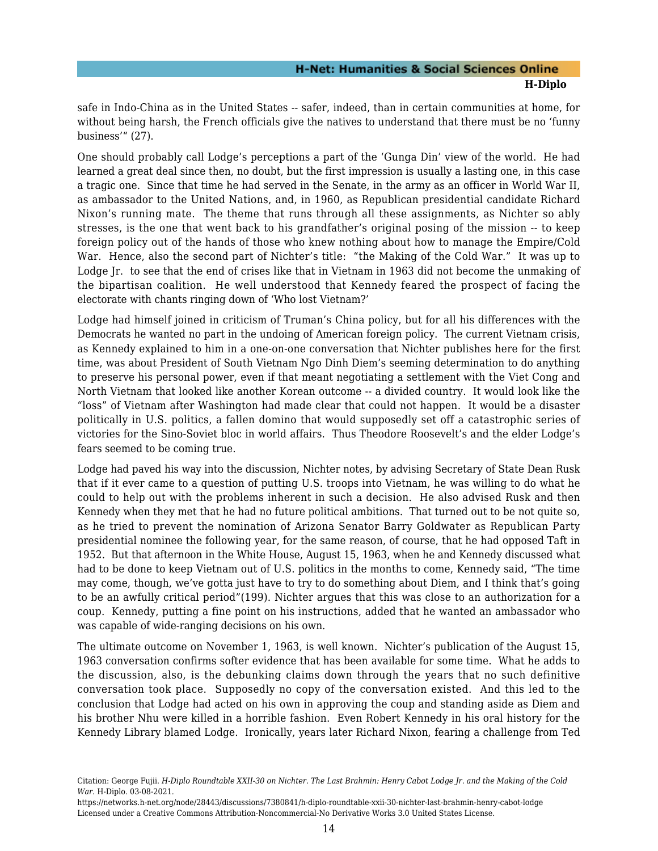safe in Indo-China as in the United States -- safer, indeed, than in certain communities at home, for without being harsh, the French officials give the natives to understand that there must be no 'funny business'" (27).

One should probably call Lodge's perceptions a part of the 'Gunga Din' view of the world. He had learned a great deal since then, no doubt, but the first impression is usually a lasting one, in this case a tragic one. Since that time he had served in the Senate, in the army as an officer in World War II, as ambassador to the United Nations, and, in 1960, as Republican presidential candidate Richard Nixon's running mate. The theme that runs through all these assignments, as Nichter so ably stresses, is the one that went back to his grandfather's original posing of the mission -- to keep foreign policy out of the hands of those who knew nothing about how to manage the Empire/Cold War. Hence, also the second part of Nichter's title: "the Making of the Cold War." It was up to Lodge Jr. to see that the end of crises like that in Vietnam in 1963 did not become the unmaking of the bipartisan coalition. He well understood that Kennedy feared the prospect of facing the electorate with chants ringing down of 'Who lost Vietnam?'

Lodge had himself joined in criticism of Truman's China policy, but for all his differences with the Democrats he wanted no part in the undoing of American foreign policy. The current Vietnam crisis, as Kennedy explained to him in a one-on-one conversation that Nichter publishes here for the first time, was about President of South Vietnam Ngo Dinh Diem's seeming determination to do anything to preserve his personal power, even if that meant negotiating a settlement with the Viet Cong and North Vietnam that looked like another Korean outcome -- a divided country. It would look like the "loss" of Vietnam after Washington had made clear that could not happen. It would be a disaster politically in U.S. politics, a fallen domino that would supposedly set off a catastrophic series of victories for the Sino-Soviet bloc in world affairs. Thus Theodore Roosevelt's and the elder Lodge's fears seemed to be coming true.

Lodge had paved his way into the discussion, Nichter notes, by advising Secretary of State Dean Rusk that if it ever came to a question of putting U.S. troops into Vietnam, he was willing to do what he could to help out with the problems inherent in such a decision. He also advised Rusk and then Kennedy when they met that he had no future political ambitions. That turned out to be not quite so, as he tried to prevent the nomination of Arizona Senator Barry Goldwater as Republican Party presidential nominee the following year, for the same reason, of course, that he had opposed Taft in 1952. But that afternoon in the White House, August 15, 1963, when he and Kennedy discussed what had to be done to keep Vietnam out of U.S. politics in the months to come, Kennedy said, "The time may come, though, we've gotta just have to try to do something about Diem, and I think that's going to be an awfully critical period"(199). Nichter argues that this was close to an authorization for a coup. Kennedy, putting a fine point on his instructions, added that he wanted an ambassador who was capable of wide-ranging decisions on his own.

The ultimate outcome on November 1, 1963, is well known. Nichter's publication of the August 15, 1963 conversation confirms softer evidence that has been available for some time. What he adds to the discussion, also, is the debunking claims down through the years that no such definitive conversation took place. Supposedly no copy of the conversation existed. And this led to the conclusion that Lodge had acted on his own in approving the coup and standing aside as Diem and his brother Nhu were killed in a horrible fashion. Even Robert Kennedy in his oral history for the Kennedy Library blamed Lodge. Ironically, years later Richard Nixon, fearing a challenge from Ted

Citation: George Fujii. *H-Diplo Roundtable XXII-30 on Nichter. The Last Brahmin: Henry Cabot Lodge Jr. and the Making of the Cold War*. H-Diplo. 03-08-2021.

https://networks.h-net.org/node/28443/discussions/7380841/h-diplo-roundtable-xxii-30-nichter-last-brahmin-henry-cabot-lodge Licensed under a Creative Commons Attribution-Noncommercial-No Derivative Works 3.0 United States License.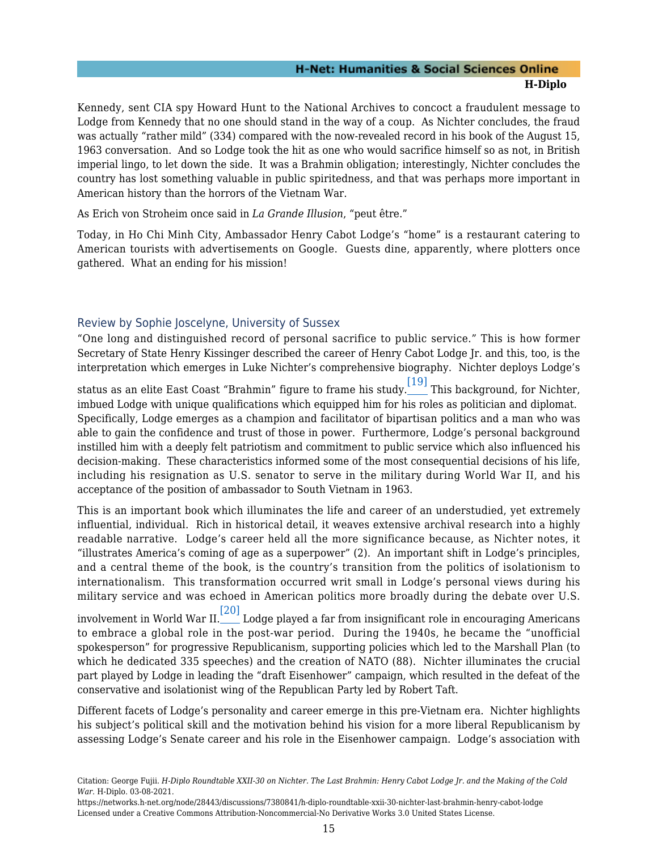Kennedy, sent CIA spy Howard Hunt to the National Archives to concoct a fraudulent message to Lodge from Kennedy that no one should stand in the way of a coup. As Nichter concludes, the fraud was actually "rather mild" (334) compared with the now-revealed record in his book of the August 15, 1963 conversation. And so Lodge took the hit as one who would sacrifice himself so as not, in British imperial lingo, to let down the side. It was a Brahmin obligation; interestingly, Nichter concludes the country has lost something valuable in public spiritedness, and that was perhaps more important in American history than the horrors of the Vietnam War.

As Erich von Stroheim once said in *La Grande Illusion*, "peut être."

Today, in Ho Chi Minh City, Ambassador Henry Cabot Lodge's "home" is a restaurant catering to American tourists with advertisements on Google. Guests dine, apparently, where plotters once gathered. What an ending for his mission!

#### <span id="page-16-0"></span>Review by Sophie Joscelyne, University of Sussex

"One long and distinguished record of personal sacrifice to public service." This is how former Secretary of State Henry Kissinger described the career of Henry Cabot Lodge Jr. and this, too, is the interpretation which emerges in Luke Nichter's comprehensive biography. Nichter deploys Lodge's

<span id="page-16-1"></span>status as an elite East Coast "Brahmin" figure to frame his study. $\frac{[19]}{[19]}$  $\frac{[19]}{[19]}$  $\frac{[19]}{[19]}$  This background, for Nichter, imbued Lodge with unique qualifications which equipped him for his roles as politician and diplomat. Specifically, Lodge emerges as a champion and facilitator of bipartisan politics and a man who was able to gain the confidence and trust of those in power. Furthermore, Lodge's personal background instilled him with a deeply felt patriotism and commitment to public service which also influenced his decision-making. These characteristics informed some of the most consequential decisions of his life, including his resignation as U.S. senator to serve in the military during World War II, and his acceptance of the position of ambassador to South Vietnam in 1963.

This is an important book which illuminates the life and career of an understudied, yet extremely influential, individual. Rich in historical detail, it weaves extensive archival research into a highly readable narrative. Lodge's career held all the more significance because, as Nichter notes, it "illustrates America's coming of age as a superpower" (2). An important shift in Lodge's principles, and a central theme of the book, is the country's transition from the politics of isolationism to internationalism. This transformation occurred writ small in Lodge's personal views during his military service and was echoed in American politics more broadly during the debate over U.S.

<span id="page-16-2"></span>involvement in World War II. $\overline{{\rm [20]}}$  $\overline{{\rm [20]}}$  $\overline{{\rm [20]}}$  Lodge played a far from insignificant role in encouraging Americans to embrace a global role in the post-war period. During the 1940s, he became the "unofficial spokesperson" for progressive Republicanism, supporting policies which led to the Marshall Plan (to which he dedicated 335 speeches) and the creation of NATO (88). Nichter illuminates the crucial part played by Lodge in leading the "draft Eisenhower" campaign, which resulted in the defeat of the conservative and isolationist wing of the Republican Party led by Robert Taft.

Different facets of Lodge's personality and career emerge in this pre-Vietnam era. Nichter highlights his subject's political skill and the motivation behind his vision for a more liberal Republicanism by assessing Lodge's Senate career and his role in the Eisenhower campaign. Lodge's association with

Citation: George Fujii. *H-Diplo Roundtable XXII-30 on Nichter. The Last Brahmin: Henry Cabot Lodge Jr. and the Making of the Cold War*. H-Diplo. 03-08-2021.

https://networks.h-net.org/node/28443/discussions/7380841/h-diplo-roundtable-xxii-30-nichter-last-brahmin-henry-cabot-lodge Licensed under a Creative Commons Attribution-Noncommercial-No Derivative Works 3.0 United States License.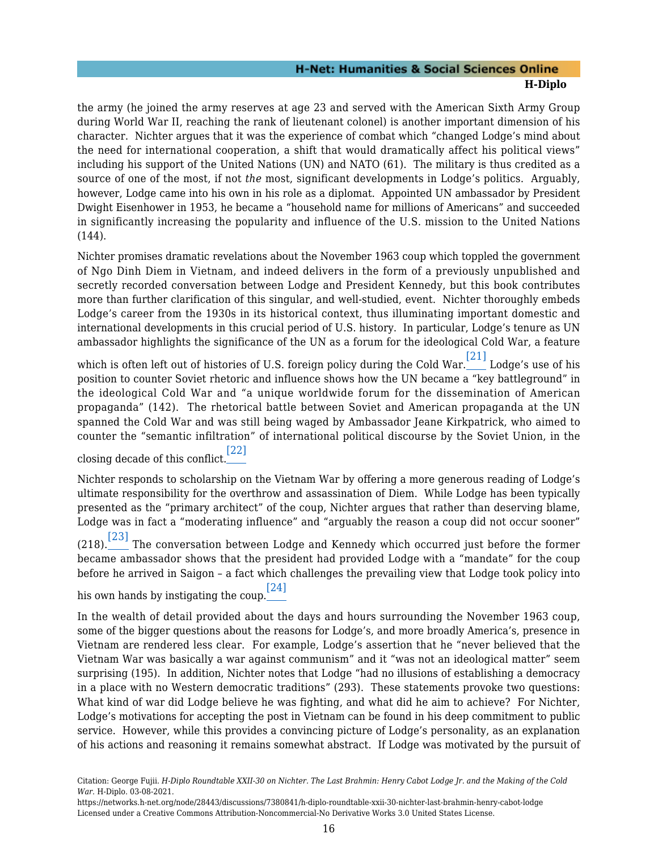the army (he joined the army reserves at age 23 and served with the American Sixth Army Group during World War II, reaching the rank of lieutenant colonel) is another important dimension of his character. Nichter argues that it was the experience of combat which "changed Lodge's mind about the need for international cooperation, a shift that would dramatically affect his political views" including his support of the United Nations (UN) and NATO (61). The military is thus credited as a source of one of the most, if not *the* most, significant developments in Lodge's politics. Arguably, however, Lodge came into his own in his role as a diplomat. Appointed UN ambassador by President Dwight Eisenhower in 1953, he became a "household name for millions of Americans" and succeeded in significantly increasing the popularity and influence of the U.S. mission to the United Nations (144).

Nichter promises dramatic revelations about the November 1963 coup which toppled the government of Ngo Dinh Diem in Vietnam, and indeed delivers in the form of a previously unpublished and secretly recorded conversation between Lodge and President Kennedy, but this book contributes more than further clarification of this singular, and well-studied, event. Nichter thoroughly embeds Lodge's career from the 1930s in its historical context, thus illuminating important domestic and international developments in this crucial period of U.S. history. In particular, Lodge's tenure as UN ambassador highlights the significance of the UN as a forum for the ideological Cold War, a feature

<span id="page-17-0"></span>which is often left out of histories of U.S. foreign policy during the Cold War. [\[21\]](#page-22-12) Lodge's use of his position to counter Soviet rhetoric and influence shows how the UN became a "key battleground" in the ideological Cold War and "a unique worldwide forum for the dissemination of American propaganda" (142). The rhetorical battle between Soviet and American propaganda at the UN spanned the Cold War and was still being waged by Ambassador Jeane Kirkpatrick, who aimed to counter the "semantic infiltration" of international political discourse by the Soviet Union, in the

<span id="page-17-1"></span>closing decade of this conflict. [\[22\]](#page-22-13)

Nichter responds to scholarship on the Vietnam War by offering a more generous reading of Lodge's ultimate responsibility for the overthrow and assassination of Diem. While Lodge has been typically presented as the "primary architect" of the coup, Nichter argues that rather than deserving blame, Lodge was in fact a "moderating influence" and "arguably the reason a coup did not occur sooner" (218).  $\left[ 23\right]$  The conversation between Lodge and Kennedy which occurred just before the former

<span id="page-17-2"></span>became ambassador shows that the president had provided Lodge with a "mandate" for the coup before he arrived in Saigon – a fact which challenges the prevailing view that Lodge took policy into

<span id="page-17-3"></span>his own hands by instigating the coup. $\frac{[24]}{[24]}$  $\frac{[24]}{[24]}$  $\frac{[24]}{[24]}$ 

In the wealth of detail provided about the days and hours surrounding the November 1963 coup, some of the bigger questions about the reasons for Lodge's, and more broadly America's, presence in Vietnam are rendered less clear. For example, Lodge's assertion that he "never believed that the Vietnam War was basically a war against communism" and it "was not an ideological matter" seem surprising (195). In addition, Nichter notes that Lodge "had no illusions of establishing a democracy in a place with no Western democratic traditions" (293). These statements provoke two questions: What kind of war did Lodge believe he was fighting, and what did he aim to achieve? For Nichter, Lodge's motivations for accepting the post in Vietnam can be found in his deep commitment to public service. However, while this provides a convincing picture of Lodge's personality, as an explanation of his actions and reasoning it remains somewhat abstract. If Lodge was motivated by the pursuit of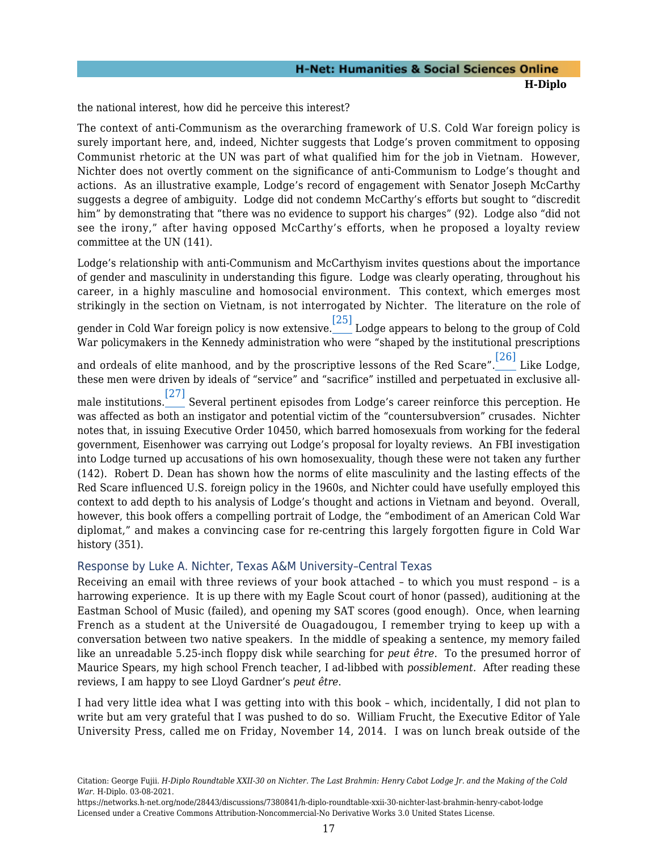the national interest, how did he perceive this interest?

The context of anti-Communism as the overarching framework of U.S. Cold War foreign policy is surely important here, and, indeed, Nichter suggests that Lodge's proven commitment to opposing Communist rhetoric at the UN was part of what qualified him for the job in Vietnam. However, Nichter does not overtly comment on the significance of anti-Communism to Lodge's thought and actions. As an illustrative example, Lodge's record of engagement with Senator Joseph McCarthy suggests a degree of ambiguity. Lodge did not condemn McCarthy's efforts but sought to "discredit him" by demonstrating that "there was no evidence to support his charges" (92). Lodge also "did not see the irony," after having opposed McCarthy's efforts, when he proposed a loyalty review committee at the UN (141).

Lodge's relationship with anti-Communism and McCarthyism invites questions about the importance of gender and masculinity in understanding this figure. Lodge was clearly operating, throughout his career, in a highly masculine and homosocial environment. This context, which emerges most strikingly in the section on Vietnam, is not interrogated by Nichter. The literature on the role of

<span id="page-18-1"></span>gender in Cold War foreign policy is now extensive. [\[25\]](#page-22-16) Lodge appears to belong to the group of Cold War policymakers in the Kennedy administration who were "shaped by the institutional prescriptions

<span id="page-18-2"></span>and ordeals of elite manhood, and by the proscriptive lessons of the Red Scare". $\overline{\phantom{0}^{[26]}}$  $\overline{\phantom{0}^{[26]}}$  $\overline{\phantom{0}^{[26]}}$  Like Lodge, these men were driven by ideals of "service" and "sacrifice" instilled and perpetuated in exclusive all-

<span id="page-18-3"></span>male institutions. [\[27\]](#page-23-1) Several pertinent episodes from Lodge's career reinforce this perception. He was affected as both an instigator and potential victim of the "countersubversion" crusades. Nichter notes that, in issuing Executive Order 10450, which barred homosexuals from working for the federal government, Eisenhower was carrying out Lodge's proposal for loyalty reviews. An FBI investigation into Lodge turned up accusations of his own homosexuality, though these were not taken any further (142). Robert D. Dean has shown how the norms of elite masculinity and the lasting effects of the Red Scare influenced U.S. foreign policy in the 1960s, and Nichter could have usefully employed this context to add depth to his analysis of Lodge's thought and actions in Vietnam and beyond. Overall, however, this book offers a compelling portrait of Lodge, the "embodiment of an American Cold War diplomat," and makes a convincing case for re-centring this largely forgotten figure in Cold War history (351).

#### <span id="page-18-0"></span>Response by Luke A. Nichter, Texas A&M University–Central Texas

Receiving an email with three reviews of your book attached – to which you must respond – is a harrowing experience. It is up there with my Eagle Scout court of honor (passed), auditioning at the Eastman School of Music (failed), and opening my SAT scores (good enough). Once, when learning French as a student at the Université de Ouagadougou, I remember trying to keep up with a conversation between two native speakers. In the middle of speaking a sentence, my memory failed like an unreadable 5.25-inch floppy disk while searching for *peut être*. To the presumed horror of Maurice Spears, my high school French teacher, I ad-libbed with *possiblement.* After reading these reviews, I am happy to see Lloyd Gardner's *peut être*.

I had very little idea what I was getting into with this book – which, incidentally, I did not plan to write but am very grateful that I was pushed to do so. William Frucht, the Executive Editor of Yale University Press, called me on Friday, November 14, 2014. I was on lunch break outside of the

Citation: George Fujii. *H-Diplo Roundtable XXII-30 on Nichter. The Last Brahmin: Henry Cabot Lodge Jr. and the Making of the Cold War*. H-Diplo. 03-08-2021.

https://networks.h-net.org/node/28443/discussions/7380841/h-diplo-roundtable-xxii-30-nichter-last-brahmin-henry-cabot-lodge Licensed under a Creative Commons Attribution-Noncommercial-No Derivative Works 3.0 United States License.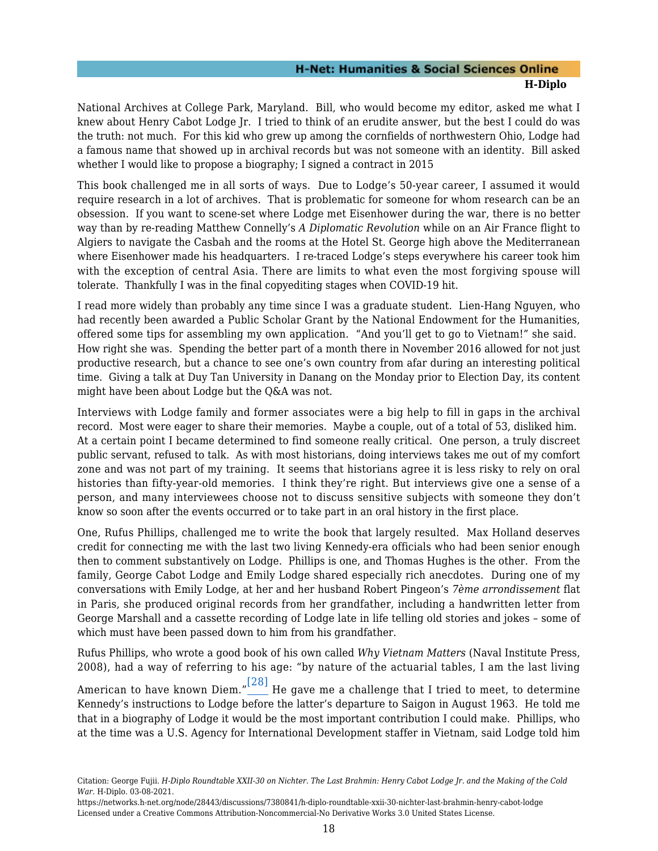National Archives at College Park, Maryland. Bill, who would become my editor, asked me what I knew about Henry Cabot Lodge Jr. I tried to think of an erudite answer, but the best I could do was the truth: not much. For this kid who grew up among the cornfields of northwestern Ohio, Lodge had a famous name that showed up in archival records but was not someone with an identity. Bill asked whether I would like to propose a biography; I signed a contract in 2015

This book challenged me in all sorts of ways. Due to Lodge's 50-year career, I assumed it would require research in a lot of archives. That is problematic for someone for whom research can be an obsession. If you want to scene-set where Lodge met Eisenhower during the war, there is no better way than by re-reading Matthew Connelly's *A Diplomatic Revolution* while on an Air France flight to Algiers to navigate the Casbah and the rooms at the Hotel St. George high above the Mediterranean where Eisenhower made his headquarters. I re-traced Lodge's steps everywhere his career took him with the exception of central Asia. There are limits to what even the most forgiving spouse will tolerate. Thankfully I was in the final copyediting stages when COVID-19 hit.

I read more widely than probably any time since I was a graduate student. Lien-Hang Nguyen, who had recently been awarded a Public Scholar Grant by the National Endowment for the Humanities, offered some tips for assembling my own application. "And you'll get to go to Vietnam!" she said. How right she was. Spending the better part of a month there in November 2016 allowed for not just productive research, but a chance to see one's own country from afar during an interesting political time. Giving a talk at Duy Tan University in Danang on the Monday prior to Election Day, its content might have been about Lodge but the Q&A was not.

Interviews with Lodge family and former associates were a big help to fill in gaps in the archival record. Most were eager to share their memories. Maybe a couple, out of a total of 53, disliked him. At a certain point I became determined to find someone really critical. One person, a truly discreet public servant, refused to talk. As with most historians, doing interviews takes me out of my comfort zone and was not part of my training. It seems that historians agree it is less risky to rely on oral histories than fifty-year-old memories. I think they're right. But interviews give one a sense of a person, and many interviewees choose not to discuss sensitive subjects with someone they don't know so soon after the events occurred or to take part in an oral history in the first place.

One, Rufus Phillips, challenged me to write the book that largely resulted. Max Holland deserves credit for connecting me with the last two living Kennedy-era officials who had been senior enough then to comment substantively on Lodge. Phillips is one, and Thomas Hughes is the other. From the family, George Cabot Lodge and Emily Lodge shared especially rich anecdotes. During one of my conversations with Emily Lodge, at her and her husband Robert Pingeon's *7ème arrondissement* flat in Paris, she produced original records from her grandfather, including a handwritten letter from George Marshall and a cassette recording of Lodge late in life telling old stories and jokes – some of which must have been passed down to him from his grandfather.

Rufus Phillips, who wrote a good book of his own called *Why Vietnam Matters* (Naval Institute Press, 2008), had a way of referring to his age: "by nature of the actuarial tables, I am the last living

<span id="page-19-0"></span>American to have known Diem." $\stackrel{[28]}{\rule{0pt}{0.5ex}\smash{1}}$  $\stackrel{[28]}{\rule{0pt}{0.5ex}\smash{1}}$  $\stackrel{[28]}{\rule{0pt}{0.5ex}\smash{1}}$  He gave me a challenge that I tried to meet, to determine Kennedy's instructions to Lodge before the latter's departure to Saigon in August 1963. He told me that in a biography of Lodge it would be the most important contribution I could make. Phillips, who at the time was a U.S. Agency for International Development staffer in Vietnam, said Lodge told him

Citation: George Fujii. *H-Diplo Roundtable XXII-30 on Nichter. The Last Brahmin: Henry Cabot Lodge Jr. and the Making of the Cold War*. H-Diplo. 03-08-2021.

https://networks.h-net.org/node/28443/discussions/7380841/h-diplo-roundtable-xxii-30-nichter-last-brahmin-henry-cabot-lodge Licensed under a Creative Commons Attribution-Noncommercial-No Derivative Works 3.0 United States License.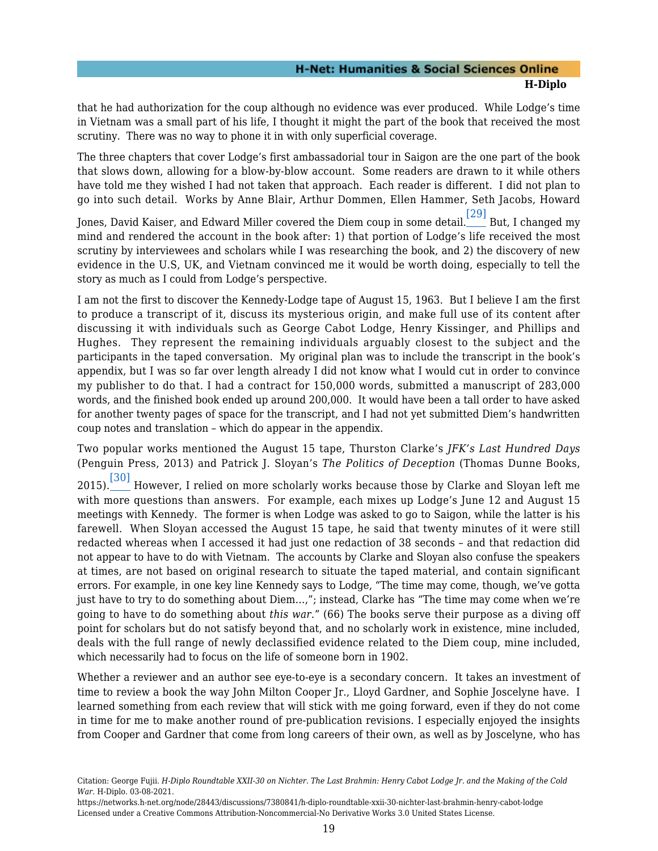that he had authorization for the coup although no evidence was ever produced. While Lodge's time in Vietnam was a small part of his life, I thought it might the part of the book that received the most scrutiny. There was no way to phone it in with only superficial coverage.

The three chapters that cover Lodge's first ambassadorial tour in Saigon are the one part of the book that slows down, allowing for a blow-by-blow account. Some readers are drawn to it while others have told me they wished I had not taken that approach. Each reader is different. I did not plan to go into such detail. Works by Anne Blair, Arthur Dommen, Ellen Hammer, Seth Jacobs, Howard

<span id="page-20-0"></span>Jones, David Kaiser, and Edward Miller covered the Diem coup in some detail. [\[29\]](#page-23-3) But, I changed my mind and rendered the account in the book after: 1) that portion of Lodge's life received the most scrutiny by interviewees and scholars while I was researching the book, and 2) the discovery of new evidence in the U.S, UK, and Vietnam convinced me it would be worth doing, especially to tell the story as much as I could from Lodge's perspective.

I am not the first to discover the Kennedy-Lodge tape of August 15, 1963. But I believe I am the first to produce a transcript of it, discuss its mysterious origin, and make full use of its content after discussing it with individuals such as George Cabot Lodge, Henry Kissinger, and Phillips and Hughes. They represent the remaining individuals arguably closest to the subject and the participants in the taped conversation. My original plan was to include the transcript in the book's appendix, but I was so far over length already I did not know what I would cut in order to convince my publisher to do that. I had a contract for 150,000 words, submitted a manuscript of 283,000 words, and the finished book ended up around 200,000. It would have been a tall order to have asked for another twenty pages of space for the transcript, and I had not yet submitted Diem's handwritten coup notes and translation – which do appear in the appendix.

<span id="page-20-1"></span>Two popular works mentioned the August 15 tape, Thurston Clarke's *JFK's Last Hundred Days* (Penguin Press, 2013) and Patrick J. Sloyan's *The Politics of Deception* (Thomas Dunne Books,

2015). $\frac{\left[30\right]}{}$  However, I relied on more scholarly works because those by Clarke and Sloyan left me with more questions than answers. For example, each mixes up Lodge's June 12 and August 15 meetings with Kennedy. The former is when Lodge was asked to go to Saigon, while the latter is his farewell. When Sloyan accessed the August 15 tape, he said that twenty minutes of it were still redacted whereas when I accessed it had just one redaction of 38 seconds – and that redaction did not appear to have to do with Vietnam. The accounts by Clarke and Sloyan also confuse the speakers at times, are not based on original research to situate the taped material, and contain significant errors. For example, in one key line Kennedy says to Lodge, "The time may come, though, we've gotta just have to try to do something about Diem…,"; instead, Clarke has "The time may come when we're going to have to do something about *this war*." (66) The books serve their purpose as a diving off point for scholars but do not satisfy beyond that, and no scholarly work in existence, mine included, deals with the full range of newly declassified evidence related to the Diem coup, mine included, which necessarily had to focus on the life of someone born in 1902.

Whether a reviewer and an author see eye-to-eye is a secondary concern. It takes an investment of time to review a book the way John Milton Cooper Jr., Lloyd Gardner, and Sophie Joscelyne have. I learned something from each review that will stick with me going forward, even if they do not come in time for me to make another round of pre-publication revisions. I especially enjoyed the insights from Cooper and Gardner that come from long careers of their own, as well as by Joscelyne, who has

Citation: George Fujii. *H-Diplo Roundtable XXII-30 on Nichter. The Last Brahmin: Henry Cabot Lodge Jr. and the Making of the Cold War*. H-Diplo. 03-08-2021.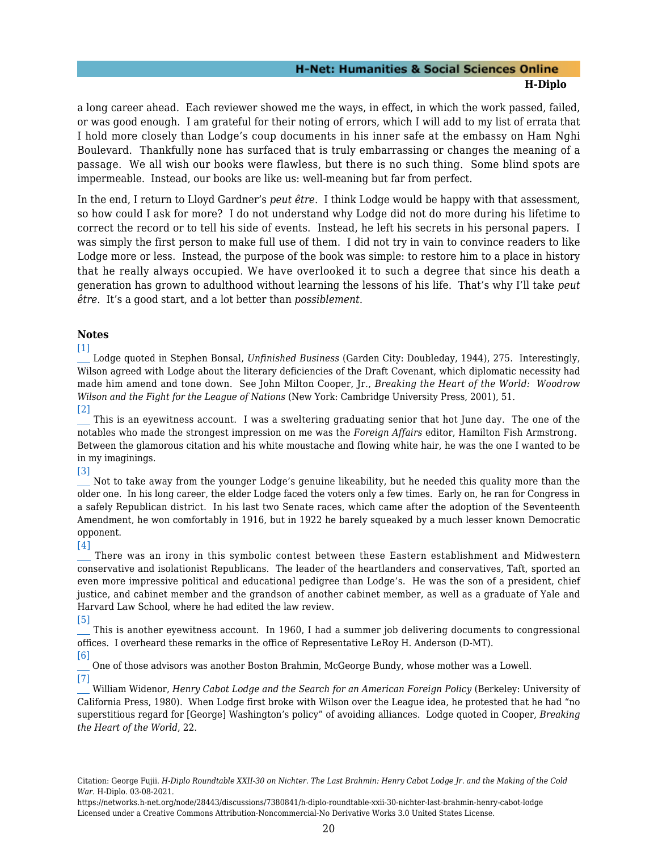a long career ahead. Each reviewer showed me the ways, in effect, in which the work passed, failed, or was good enough. I am grateful for their noting of errors, which I will add to my list of errata that I hold more closely than Lodge's coup documents in his inner safe at the embassy on Ham Nghi Boulevard. Thankfully none has surfaced that is truly embarrassing or changes the meaning of a passage. We all wish our books were flawless, but there is no such thing. Some blind spots are impermeable. Instead, our books are like us: well-meaning but far from perfect.

In the end, I return to Lloyd Gardner's *peut être*. I think Lodge would be happy with that assessment, so how could I ask for more? I do not understand why Lodge did not do more during his lifetime to correct the record or to tell his side of events. Instead, he left his secrets in his personal papers. I was simply the first person to make full use of them. I did not try in vain to convince readers to like Lodge more or less. Instead, the purpose of the book was simple: to restore him to a place in history that he really always occupied. We have overlooked it to such a degree that since his death a generation has grown to adulthood without learning the lessons of his life. That's why I'll take *peut être*. It's a good start, and a lot better than *possiblement*.

#### **Notes**

#### <span id="page-21-0"></span>[\[1\]](#page-6-1)

 Lodge quoted in Stephen Bonsal, *Unfinished Business* (Garden City: Doubleday, 1944), 275. Interestingly, Wilson agreed with Lodge about the literary deficiencies of the Draft Covenant, which diplomatic necessity had made him amend and tone down. See John Milton Cooper, Jr., *Breaking the Heart of the World: Woodrow Wilson and the Fight for the League of Nations* (New York: Cambridge University Press, 2001), 51. [\[2\]](#page-6-2)

<span id="page-21-1"></span> This is an eyewitness account. I was a sweltering graduating senior that hot June day. The one of the notables who made the strongest impression on me was the *Foreign Affairs* editor, Hamilton Fish Armstrong. Between the glamorous citation and his white moustache and flowing white hair, he was the one I wanted to be in my imaginings.

#### <span id="page-21-2"></span>[\[3\]](#page-7-0)

 Not to take away from the younger Lodge's genuine likeability, but he needed this quality more than the older one. In his long career, the elder Lodge faced the voters only a few times. Early on, he ran for Congress in a safely Republican district. In his last two Senate races, which came after the adoption of the Seventeenth Amendment, he won comfortably in 1916, but in 1922 he barely squeaked by a much lesser known Democratic opponent.

#### <span id="page-21-3"></span>[\[4\]](#page-7-1)

 There was an irony in this symbolic contest between these Eastern establishment and Midwestern conservative and isolationist Republicans. The leader of the heartlanders and conservatives, Taft, sported an even more impressive political and educational pedigree than Lodge's. He was the son of a president, chief justice, and cabinet member and the grandson of another cabinet member, as well as a graduate of Yale and Harvard Law School, where he had edited the law review.

#### <span id="page-21-4"></span>[\[5\]](#page-8-0)

 This is another eyewitness account. In 1960, I had a summer job delivering documents to congressional offices. I overheard these remarks in the office of Representative LeRoy H. Anderson (D-MT).

#### <span id="page-21-5"></span>[\[6\]](#page-9-0)

<span id="page-21-6"></span> One of those advisors was another Boston Brahmin, McGeorge Bundy, whose mother was a Lowell. [\[7\]](#page-10-0)

 William Widenor, *Henry Cabot Lodge and the Search for an American Foreign Policy* (Berkeley: University of California Press, 1980). When Lodge first broke with Wilson over the League idea, he protested that he had "no superstitious regard for [George] Washington's policy" of avoiding alliances. Lodge quoted in Cooper, *Breaking the Heart of the World*, 22.

<span id="page-21-7"></span>Citation: George Fujii. *H-Diplo Roundtable XXII-30 on Nichter. The Last Brahmin: Henry Cabot Lodge Jr. and the Making of the Cold War*. H-Diplo. 03-08-2021.

https://networks.h-net.org/node/28443/discussions/7380841/h-diplo-roundtable-xxii-30-nichter-last-brahmin-henry-cabot-lodge Licensed under a Creative Commons Attribution-Noncommercial-No Derivative Works 3.0 United States License.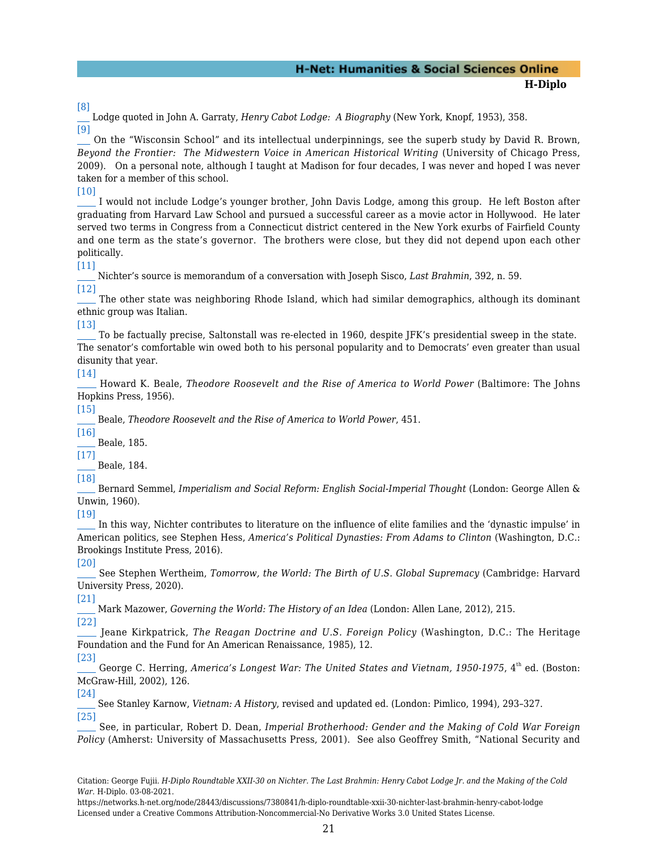[\[8\]](#page-10-1)

 Lodge quoted in John A. Garraty, *Henry Cabot Lodge: A Biography* (New York, Knopf, 1953), 358. [\[9\]](#page-11-0)

<span id="page-22-0"></span> On the "Wisconsin School" and its intellectual underpinnings, see the superb study by David R. Brown, *Beyond the Frontier: The Midwestern Voice in American Historical Writing* (University of Chicago Press, 2009). On a personal note, although I taught at Madison for four decades, I was never and hoped I was never taken for a member of this school.

<span id="page-22-1"></span>[\[10\]](#page-11-1)

 I would not include Lodge's younger brother, John Davis Lodge, among this group. He left Boston after graduating from Harvard Law School and pursued a successful career as a movie actor in Hollywood. He later served two terms in Congress from a Connecticut district centered in the New York exurbs of Fairfield County and one term as the state's governor. The brothers were close, but they did not depend upon each other politically.

#### <span id="page-22-2"></span>[\[11\]](#page-11-2)

Nichter's source is memorandum of a conversation with Joseph Sisco, *Last Brahmin*, 392, n. 59.

<span id="page-22-3"></span>[\[12\]](#page-11-3) The other state was neighboring Rhode Island, which had similar demographics, although its dominant ethnic group was Italian.

#### <span id="page-22-4"></span>[\[13\]](#page-11-4)

 To be factually precise, Saltonstall was re-elected in 1960, despite JFK's presidential sweep in the state. The senator's comfortable win owed both to his personal popularity and to Democrats' even greater than usual disunity that year.

#### <span id="page-22-5"></span>[\[14\]](#page-12-1)

 Howard K. Beale, *Theodore Roosevelt and the Rise of America to World Power* (Baltimore: The Johns Hopkins Press, 1956).

<span id="page-22-6"></span>[\[15\]](#page-12-2)

Beale, *Theodore Roosevelt and the Rise of America to World Power*, 451.

<span id="page-22-7"></span>[\[16\]](#page-12-3)

Beale, 185.

<span id="page-22-8"></span>[\[17\]](#page-13-0) Beale, 184.

<span id="page-22-9"></span>[\[18\]](#page-13-1)

 Bernard Semmel, *Imperialism and Social Reform: English Social-Imperial Thought* (London: George Allen & Unwin, 1960).

<span id="page-22-10"></span>[\[19\]](#page-16-1)

 In this way, Nichter contributes to literature on the influence of elite families and the 'dynastic impulse' in American politics, see Stephen Hess, *America's Political Dynasties: From Adams to Clinton* (Washington, D.C.: Brookings Institute Press, 2016).

<span id="page-22-11"></span>[\[20\]](#page-16-2)

 See Stephen Wertheim, *Tomorrow, the World: The Birth of U.S. Global Supremacy* (Cambridge: Harvard University Press, 2020).

<span id="page-22-12"></span>[\[21\]](#page-17-0) Mark Mazower, *Governing the World: The History of an Idea* (London: Allen Lane, 2012), 215. [\[22\]](#page-17-1)

<span id="page-22-13"></span> Jeane Kirkpatrick, *The Reagan Doctrine and U.S. Foreign Policy* (Washington, D.C.: The Heritage Foundation and the Fund for An American Renaissance, 1985), 12.

<span id="page-22-14"></span>[\[23\]](#page-17-2)

George C. Herring, America's Longest War: The United States and Vietnam, 1950-1975, 4<sup>th</sup> ed. (Boston: McGraw-Hill, 2002), 126.

#### <span id="page-22-15"></span>[\[24\]](#page-17-3)

 See Stanley Karnow, *Vietnam: A History*, revised and updated ed. (London: Pimlico, 1994), 293–327. [\[25\]](#page-18-1)

<span id="page-22-16"></span> See, in particular, Robert D. Dean, *Imperial Brotherhood: Gender and the Making of Cold War Foreign Policy* (Amherst: University of Massachusetts Press, 2001). See also Geoffrey Smith, "National Security and

Citation: George Fujii. *H-Diplo Roundtable XXII-30 on Nichter. The Last Brahmin: Henry Cabot Lodge Jr. and the Making of the Cold War*. H-Diplo. 03-08-2021.

https://networks.h-net.org/node/28443/discussions/7380841/h-diplo-roundtable-xxii-30-nichter-last-brahmin-henry-cabot-lodge Licensed under a Creative Commons Attribution-Noncommercial-No Derivative Works 3.0 United States License.